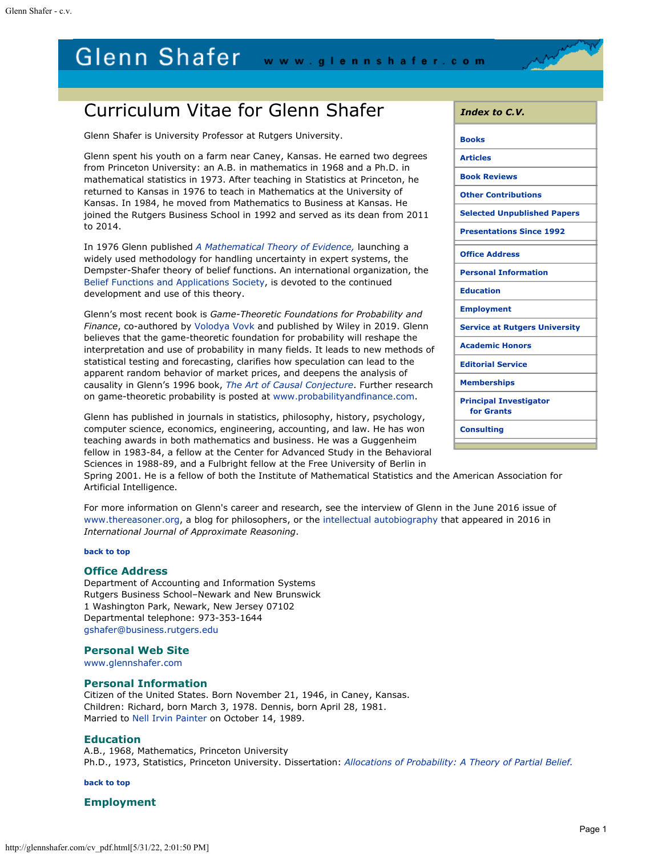# <span id="page-0-4"></span>Glenn Shafer www.glennshafer.com

# Curriculum Vitae for Glenn Shafer

Glenn Shafer is University Professor at Rutgers University.

Glenn spent his youth on a farm near Caney, Kansas. He earned two degrees from Princeton University: an A.B. in mathematics in 1968 and a Ph.D. in mathematical statistics in 1973. After teaching in Statistics at Princeton, he returned to Kansas in 1976 to teach in Mathematics at the University of Kansas. In 1984, he moved from Mathematics to Business at Kansas. He joined the Rutgers Business School in 1992 and served as its dean from 2011 to 2014.

In 1976 Glenn published *[A Mathematical Theory of](http://www.glennshafer.com/books/amte.html) [Evidence,](http://www.glennshafer.com/books/amte.html)* launching a widely used methodology for handling uncertainty in expert systems, the Dempster-Shafer theory of belief functions. An international organization, the [Belief](http://www.bfasociety.org/) [Functions and Applications Society](http://www.bfasociety.org/), is devoted to the continued development and use of this theory.

Glenn's most recent book is *Game-Theoretic Foundations for Probability and Finance*, co-authored by [Volodya Vovk](http://www.cs.rhul.ac.uk/~vovk/) and published by Wiley in 2019. Glenn believes that the game-theoretic foundation for probability will reshape the interpretation and use of probability in many fields. It leads to new methods of statistical testing and forecasting, clarifies how speculation can lead to the apparent random behavior of market prices, and deepens the analysis of causality in Glenn's 1996 book, *[The Art of Causal Conjecture](http://www.glennshafer.com/books/acc.html)*. Further research on game-theoretic probability is posted at [www.probabilityandfinance.com](http://www.probabilityandfinance.com/).

Glenn has published in journals in statistics, philosophy, history, psychology, computer science, economics, engineering, accounting, and law. He has won teaching awards in both mathematics and business. He was a Guggenheim fellow in 1983-84, a fellow at the Center for Advanced Study in the Behavioral Sciences in 1988-89, and a Fulbright fellow at the Free University of Berlin in

Spring 2001. He is a fellow of both the Institute of Mathematical Statistics and the American Association for Artificial Intelligence.

For more information on Glenn's career and research, see the interview of Glenn in the June 2016 issue of [www.thereasoner.org](http://www.thereasoner.org/), a blog for philosophers, or the [intellectual autobiography](http://glennshafer.com/assets/downloads/MathTheoryofEvidence-turns-40.pdf) that appeared in 2016 in *International Journal of Approximate Reasoning*.

#### **[back to top](#page-0-4)**

#### <span id="page-0-0"></span>**Office Address**

Department of Accounting and Information Systems Rutgers Business School–Newark and New Brunswick 1 Washington Park, Newark, New Jersey 07102 Departmental telephone: 973-353-1644 [gshafer@business.rutgers.edu](mailto:gshafer@business.rutgers.edu)

#### **Personal Web Site**

[www.glennshafer.com](http://www.glennshafer.com/)

#### <span id="page-0-1"></span>**Personal Information**

Citizen of the United States. Born November 21, 1946, in Caney, Kansas. Children: Richard, born March 3, 1978. Dennis, born April 28, 1981. Married to [Nell Irvin Painter](http://www.nellpainter.com/) on October 14, 1989.

#### <span id="page-0-2"></span>**Education**

A.B., 1968, Mathematics, Princeton University Ph.D., 1973, Statistics, Princeton University. Dissertation: *[Allocations of Probability: A Theory of Partial Belief.](http://glennshafer.com/books/73dissertation.html)*

**[back to top](#page-0-4)**

#### <span id="page-0-3"></span>**Employment**

| <i>Index to C.V.</i>                        |
|---------------------------------------------|
| <b>Books</b>                                |
| <b>Articles</b>                             |
| <b>Book Reviews</b>                         |
| <b>Other Contributions</b>                  |
| <b>Selected Unpublished Papers</b>          |
| <b>Presentations Since 1992</b>             |
| <b>Office Address</b>                       |
| <b>Personal Information</b>                 |
| <b>Education</b>                            |
| <b>Employment</b>                           |
| <b>Service at Rutgers University</b>        |
| <b>Academic Honors</b>                      |
| <b>Editorial Service</b>                    |
| <b>Memberships</b>                          |
| <b>Principal Investigator</b><br>for Grants |
| <b>Consulting</b>                           |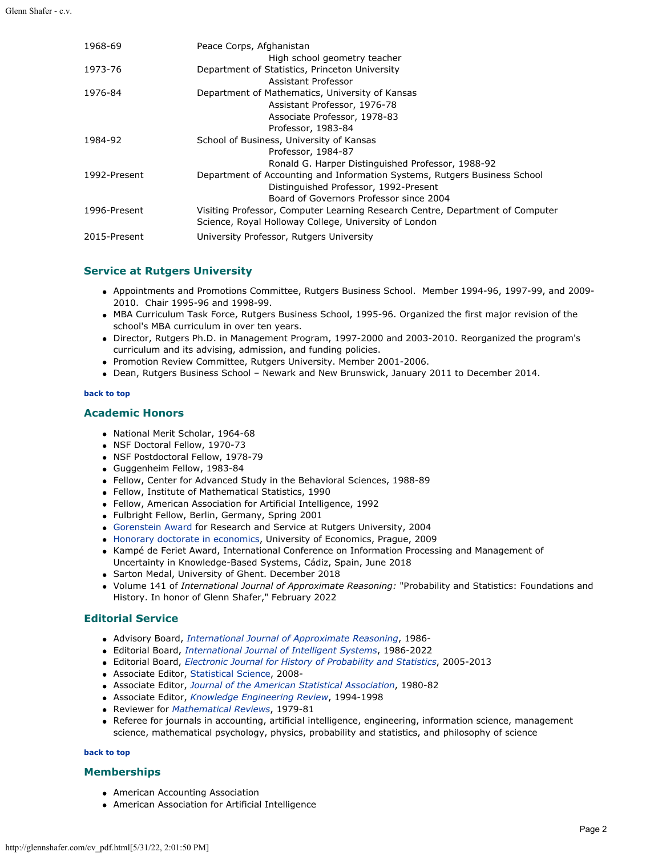| 1968-69      | Peace Corps, Afghanistan                                                      |
|--------------|-------------------------------------------------------------------------------|
|              | High school geometry teacher                                                  |
| 1973-76      | Department of Statistics, Princeton University                                |
|              | Assistant Professor                                                           |
| 1976-84      | Department of Mathematics, University of Kansas                               |
|              | Assistant Professor, 1976-78                                                  |
|              | Associate Professor, 1978-83                                                  |
|              | Professor, 1983-84                                                            |
| 1984-92      | School of Business, University of Kansas                                      |
|              | Professor, 1984-87                                                            |
|              | Ronald G. Harper Distinguished Professor, 1988-92                             |
| 1992-Present | Department of Accounting and Information Systems, Rutgers Business School     |
|              | Distinguished Professor, 1992-Present                                         |
|              | Board of Governors Professor since 2004                                       |
| 1996-Present | Visiting Professor, Computer Learning Research Centre, Department of Computer |
|              | Science, Royal Holloway College, University of London                         |
| 2015-Present | University Professor, Rutgers University                                      |
|              |                                                                               |

# <span id="page-1-0"></span>**Service at Rutgers University**

- Appointments and Promotions Committee, Rutgers Business School. Member 1994-96, 1997-99, and 2009- 2010. Chair 1995-96 and 1998-99.
- MBA Curriculum Task Force, Rutgers Business School, 1995-96. Organized the first major revision of the school's MBA curriculum in over ten years.
- Director, Rutgers Ph.D. in Management Program, 1997-2000 and 2003-2010. Reorganized the program's curriculum and its advising, admission, and funding policies.
- Promotion Review Committee, Rutgers University. Member 2001-2006.
- Dean, Rutgers Business School Newark and New Brunswick, January 2011 to December 2014.

#### **[back to top](#page-0-4)**

#### <span id="page-1-1"></span>**Academic Honors**

- National Merit Scholar, 1964-68
- NSF Doctoral Fellow, 1970-73
- NSF Postdoctoral Fellow, 1978-79
- Guggenheim Fellow, 1983-84
- Fellow, Center for Advanced Study in the Behavioral Sciences, 1988-89
- Fellow, Institute of Mathematical Statistics, 1990
- Fellow, American Association for Artificial Intelligence, 1992
- Fulbright Fellow, Berlin, Germany, Spring 2001
- [Gorenstein Award](http://glennshafer.com/assets/downloads/reward.pdf) for Research and Service at Rutgers University, 2004
- [Honorary doctorate in economics](http://glennshafer.com/prague.html), University of Economics, Prague, 2009
- Kampé de Feriet Award, International Conference on Information Processing and Management of Uncertainty in Knowledge-Based Systems, Cádiz, Spain, June 2018
- Sarton Medal, University of Ghent. December 2018
- Volume 141 of *International Journal of Approximate Reasoning:* "Probability and Statistics: Foundations and History. In honor of Glenn Shafer," February 2022

### <span id="page-1-2"></span>**Editorial Service**

- Advisory Board, *[International Journal of Approximate Reasoning](http://www.sciencedirect.com/science/journal/0888613X)*, 1986-
- Editorial Board, *[International Journal of Intelligent Systems](http://www3.interscience.wiley.com/journal/36062/home)*, 1986-2022
- Editorial Board, *[Electronic Journal for History of Probability and Statistics](http://www.jehps.net/)*, 2005-2013
- Associate Editor, [Statistical Science](https://imstat.org/sts/), 2008-
- Associate Editor[,](http://www.amstat.org/PUBLICATIONS/jasa/index.cfm?fuseaction=main) *[Journal of the American Statistical Association](http://www.amstat.org/PUBLICATIONS/jasa/index.cfm?fuseaction=main)*, 1980-82
- Associate Editor, *[Knowledge Engineering Review](http://www.journals.cup.org/action/displayJournal?jid=KER)*, 1994-1998
- Reviewer for *[Mathematical Reviews](http://www.ams.org/mathscinet/)*, 1979-81
- Referee for journals in accounting, artificial intelligence, engineering, information science, management science, mathematical psychology, physics, probability and statistics, and philosophy of science

#### **[back to top](#page-0-4)**

#### <span id="page-1-3"></span>**Memberships**

- American Accounting Association
- American Association for Artificial Intelligence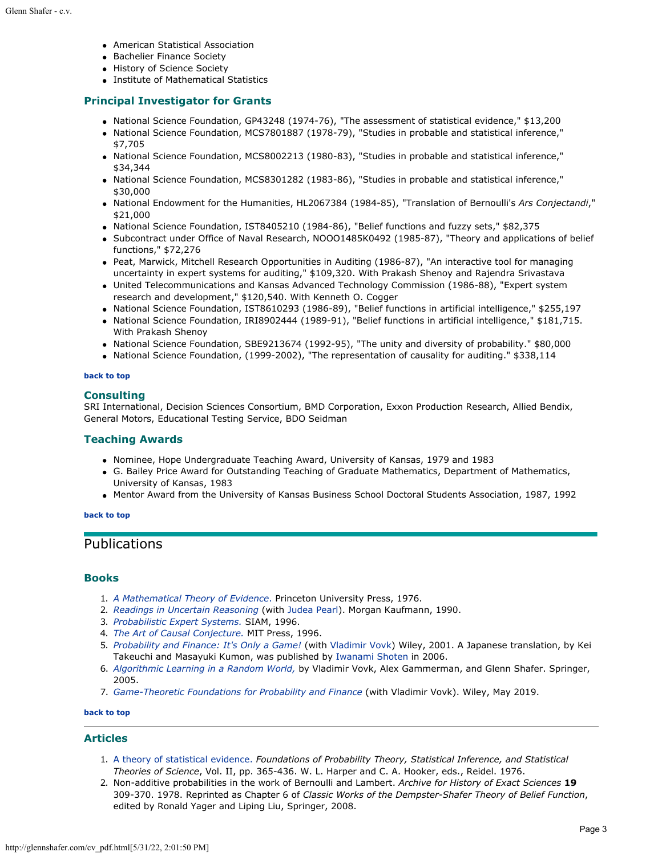- American Statistical Association
- Bachelier Finance Society
- History of Science Society
- Institute of Mathematical Statistics

## <span id="page-2-2"></span>**Principal Investigator for Grants**

- National Science Foundation, GP43248 (1974-76), "The assessment of statistical evidence," \$13,200
- National Science Foundation, MCS7801887 (1978-79), "Studies in probable and statistical inference," \$7,705
- National Science Foundation, MCS8002213 (1980-83), "Studies in probable and statistical inference," \$34,344
- National Science Foundation, MCS8301282 (1983-86), "Studies in probable and statistical inference," \$30,000
- National Endowment for the Humanities, HL2067384 (1984-85), "Translation of Bernoulli's *Ars Conjectandi*," \$21,000
- National Science Foundation, IST8405210 (1984-86), "Belief functions and fuzzy sets," \$82,375
- Subcontract under Office of Naval Research, NOOO1485K0492 (1985-87), "Theory and applications of belief functions," \$72,276
- Peat, Marwick, Mitchell Research Opportunities in Auditing (1986-87), "An interactive tool for managing uncertainty in expert systems for auditing," \$109,320. With Prakash Shenoy and Rajendra Srivastava
- United Telecommunications and Kansas Advanced Technology Commission (1986-88), "Expert system research and development," \$120,540. With Kenneth O. Cogger
- National Science Foundation, IST8610293 (1986-89), "Belief functions in artificial intelligence," \$255,197
- National Science Foundation, IRI8902444 (1989-91), "Belief functions in artificial intelligence," \$181,715. With Prakash Shenoy
- National Science Foundation, SBE9213674 (1992-95), "The unity and diversity of probability." \$80,000
- National Science Foundation, (1999-2002), "The representation of causality for auditing." \$338,114

#### **[back to top](#page-0-4)**

### <span id="page-2-3"></span>**Consulting**

SRI International, Decision Sciences Consortium, BMD Corporation, Exxon Production Research, Allied Bendix, General Motors, Educational Testing Service, BDO Seidman

#### **Teaching Awards**

- Nominee, Hope Undergraduate Teaching Award, University of Kansas, 1979 and 1983
- G. Bailey Price Award for Outstanding Teaching of Graduate Mathematics, Department of Mathematics, University of Kansas, 1983
- Mentor Award from the University of Kansas Business School Doctoral Students Association, 1987, 1992

#### **[back to top](#page-0-4)**

# Publications

#### <span id="page-2-0"></span>**Books**

- 1. *[A Mathematical Theory of Evidence](http://glennshafer.com/books/amte.html)*[.](http://glennshafer.com/books/amte.html) Princeton University Press, 1976.
- 2. *[Readings in Uncertain Reasoning](http://glennshafer.com/books/rur.html)* (with [Judea Pearl](http://bayes.cs.ucla.edu/jp_home.html)). Morgan Kaufmann, 1990.
- 3. *[Probabilistic Expert Systems.](http://glennshafer.com/books/pes.html)* SIAM, 1996.
- 4. *[The Art of Causal Conjecture.](http://glennshafer.com/books/acc.html)* MIT Press, 1996.
- 5. *[Probability and Finance: It's Only a Game!](http://www.probabilityandfinance.com/)* (with [Vladimir Vovk](http://www.cs.rhul.ac.uk/%7evovk/)) Wiley, 2001. A Japanese translation, by Kei Takeuchi and Masayuki Kumon, was published by [Iwanami Shoten](http://www.iwanami.co.jp/english/index.html) in 2006.
- 6. *[Algorithmic Learning in a Random World,](http://www.alrw.net/)* by Vladimir Vovk, Alex Gammerman, and Glenn Shafer. Springer, 2005.
- 7. *[Game-Theoretic Foundations for Probability and Finance](http://www.probabilityandfinance.com/2019_book/index.html)* (with Vladimir Vovk). Wiley, May 2019.

# **[back to top](#page-0-4)**

# <span id="page-2-1"></span>**Articles**

- 1. [A theory of statistical evidence.](http://glennshafer.com/assets/downloads/TheoryofStatisticalEvidence-1976.pdf) *Foundations of Probability Theory, Statistical Inference, and Statistical Theories of Science*, Vol. II, pp. 365-436. W. L. Harper and C. A. Hooker, eds., Reidel. 1976.
- 2. Non-additive probabilities in the work of Bernoulli and Lambert. *Archive for History of Exact Sciences* **19** 309-370. 1978. Reprinted as Chapter 6 of *Classic Works of the Dempster-Shafer Theory of Belief Function*, edited by Ronald Yager and Liping Liu, Springer, 2008.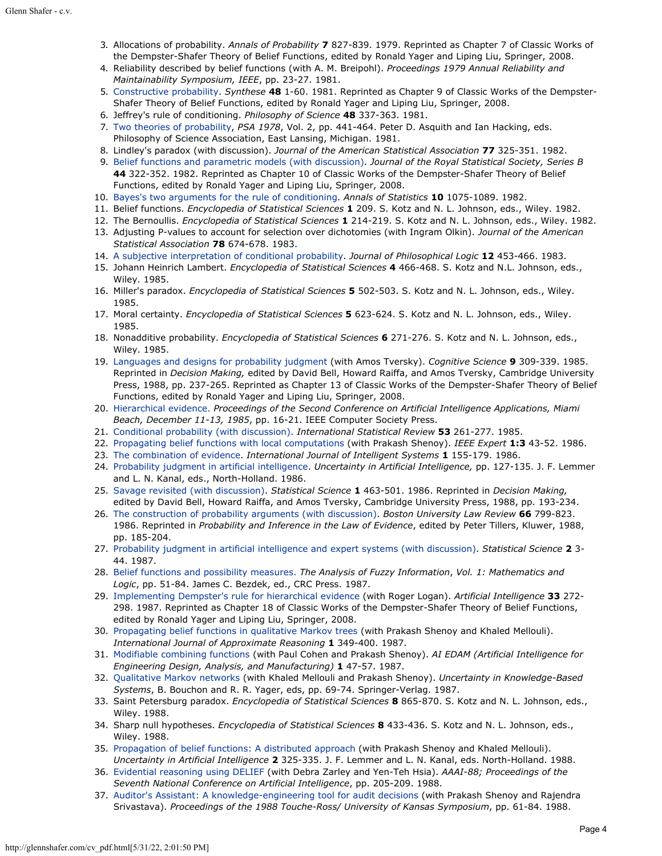- 3. Allocations of probability. *Annals of Probability* **7** 827-839. 1979. Reprinted as Chapter 7 of Classic Works of the Dempster-Shafer Theory of Belief Functions, edited by Ronald Yager and Liping Liu, Springer, 2008.
- 4. Reliability described by belief functions (with A. M. Breipohl). *Proceedings 1979 Annual Reliability and Maintainability Symposium, IEEE*, pp. 23-27. 1981.
- 5. [Constructive probability](http://glennshafer.com/assets/downloads/articles/article05_constructive.pdf). *Synthese* **48** 1-60. 1981. Reprinted as Chapter 9 of Classic Works of the Dempster-Shafer Theory of Belief Functions, edited by Ronald Yager and Liping Liu, Springer, 2008.
- 6. Jeffrey's rule of conditioning. *Philosophy of Science* **48** 337-363. 1981.
- 7. [Two theories of probability](http://glennshafer.com/assets/downloads/articles/article07_TwoTheories1981.pdf), *PSA 1978*, Vol. 2, pp. 441-464. Peter D. Asquith and Ian Hacking, eds. Philosophy of Science Association, East Lansing, Michigan. 1981.
- 8. Lindley's paradox (with discussion). *Journal of the American Statistical Association* **77** 325-351. 1982.
- 9. [Belief functions and parametric models \(with discussion\)](http://glennshafer.com/assets/downloads/articles/article09_belief3.pdf). *Journal of the Royal Statistical Society, Series B* **44** 322-352. 1982. Reprinted as Chapter 10 of Classic Works of the Dempster-Shafer Theory of Belief Functions, edited by Ronald Yager and Liping Liu, Springer, 2008.
- 10. [Bayes's two arguments for the rule of conditioning](http://glennshafer.com/assets/downloads/articles/article10_bayes2argumts.pdf). *Annals of Statistics* **10** 1075-1089. 1982.
- 11. Belief functions. *Encyclopedia of Statistical Sciences* **1** 209. S. Kotz and N. L. Johnson, eds., Wiley. 1982.
- 12. The Bernoullis. *Encyclopedia of Statistical Sciences* **1** 214-219. S. Kotz and N. L. Johnson, eds., Wiley. 1982.
- 13. Adjusting P-values to account for selection over dichotomies (with Ingram Olkin). *Journal of the American Statistical Association* **78** 674-678. 1983.
- 14. [A subjective interpretation of conditional probability](http://glennshafer.com/assets/downloads/articles/article14_subjective.pdf). *Journal of Philosophical Logic* **12** 453-466. 1983.
- 15. Johann Heinrich Lambert. *Encyclopedia of Statistical Sciences* **4** 466-468. S. Kotz and N.L. Johnson, eds., Wiley. 1985.
- 16. Miller's paradox. *Encyclopedia of Statistical Sciences* **5** 502-503. S. Kotz and N. L. Johnson, eds., Wiley. 1985.
- 17. Moral certainty. *Encyclopedia of Statistical Sciences* **5** 623-624. S. Kotz and N. L. Johnson, eds., Wiley. 1985.
- 18. Nonadditive probability. *Encyclopedia of Statistical Sciences* **6** 271-276. S. Kotz and N. L. Johnson, eds., Wiley. 1985.
- 19. [Languages and designs for probability judgment](http://glennshafer.com/assets/downloads/articles/article19_languages.pdf) (with Amos Tversky). *Cognitive Science* **9** 309-339. 1985. Reprinted in *Decision Making,* edited by David Bell, Howard Raiffa, and Amos Tversky, Cambridge University Press, 1988, pp. 237-265. Reprinted as Chapter 13 of Classic Works of the Dempster-Shafer Theory of Belief Functions, edited by Ronald Yager and Liping Liu, Springer, 2008.
- 20. [Hierarchical evidence.](http://glennshafer.com/assets/downloads/articles/article20_hierarchical.pdf) *Proceedings of the Second Conference on Artificial Intelligence Applications, Miami Beach, December 11-13, 1985*, pp. 16-21. IEEE Computer Society Press.
- 21. [Conditional probability \(with discussion\).](http://glennshafer.com/assets/downloads/articles/article21_conditional.pdf) *International Statistical Review* **53** 261-277. 1985.
- 22. [Propagating belief functions with local computations](http://glennshafer.com/assets/downloads/articles/article22_belief2.pdf) (with Prakash Shenoy). *IEEE Expert* **1:3** 43-52. 1986.
- 23. [The combination of evidence](http://glennshafer.com/assets/downloads/articles/article23_combo.pdf). *International Journal of Intelligent Systems* **1** 155-179. 1986.
- 24. [Probability judgment in artificial intelligence](http://glennshafer.com/assets/downloads/articles/article24_probability.pdf). *Uncertainty in Artificial Intelligence,* pp. 127-135. J. F. Lemmer and L. N. Kanal, eds., North-Holland. 1986.
- 25. [Savage revisited \(with discussion\)](http://glennshafer.com/assets/downloads/articles/article25_savage.pdf). *Statistical Science* **1** 463-501. 1986. Reprinted in *Decision Making,* edited by David Bell, Howard Raiffa, and Amos Tversky, Cambridge University Press, 1988, pp. 193-234.
- 26. [The construction of probability arguments \(with discussion\)](http://glennshafer.com/assets/downloads/articles/article26_construction88.pdf). *Boston University Law Review* **66** 799-823. 1986. Reprinted in *Probability and Inference in the Law of Evidence*, edited by Peter Tillers, Kluwer, 1988, pp. 185-204.
- 27. [Probability judgment in artificial intelligence and expert systems \(with discussion\)](http://glennshafer.com/assets/downloads/articles/article27_probjudgment.pdf). *Statistical Science* **2** 3- 44. 1987.
- 28. [Belief functions and possibility measures.](http://glennshafer.com/assets/downloads/articles/article28_belief1.pdf) *The Analysis of Fuzzy Information*, *Vol. 1: Mathematics and Logic*, pp. 51-84. James C. Bezdek, ed., CRC Press. 1987.
- 29. [Implementing Dempster's rule for hierarchical evidence](http://glennshafer.com/assets/downloads/articles/article29_dempster.pdf) (with Roger Logan). *Artificial Intelligence* **33** 272- 298. 1987. Reprinted as Chapter 18 of Classic Works of the Dempster-Shafer Theory of Belief Functions, edited by Ronald Yager and Liping Liu, Springer, 2008.
- 30. [Propagating belief functions in qualitative Markov trees](http://glennshafer.com/assets/downloads/articles/article30_belief4.pdf) (with Prakash Shenoy and Khaled Mellouli). *International Journal of Approximate Reasoning* **1** 349-400. 1987.
- 31. [Modifiable combining functions](http://glennshafer.com/assets/downloads/articles/article31_modifiable.pdf) (with Paul Cohen and Prakash Shenoy). *AI EDAM (Artificial Intelligence for Engineering Design, Analysis, and Manufacturing)* **1** 47-57. 1987.
- 32. [Qualitative Markov networks](http://glennshafer.com/assets/downloads/articles/article32_markov.pdf) (with Khaled Mellouli and Prakash Shenoy). *Uncertainty in Knowledge-Based Systems*, B. Bouchon and R. R. Yager, eds, pp. 69-74. Springer-Verlag. 1987.
- 33. Saint Petersburg paradox. *Encyclopedia of Statistical Sciences* **8** 865-870. S. Kotz and N. L. Johnson, eds., Wiley. 1988.
- 34. Sharp null hypotheses. *Encyclopedia of Statistical Sciences* **8** 433-436. S. Kotz and N. L. Johnson, eds., Wiley. 1988.
- 35. [Propagation of belief functions: A distributed approach](http://glennshafer.com/assets/downloads/articles/article35_propagation.pdf) (with Prakash Shenoy and Khaled Mellouli). *Uncertainty in Artificial Intelligence* **2** 325-335. J. F. Lemmer and L. N. Kanal, eds. North-Holland. 1988.
- 36. [Evidential reasoning using DELIEF](http://glennshafer.com/assets/downloads/articles/article36_evidential.pdf) (with Debra Zarley and Yen-Teh Hsia). *AAAI-88; Proceedings of the Seventh National Conference on Artificial Intelligence*, pp. 205-209. 1988.
- 37. [Auditor's Assistant: A knowledge-engineering tool for audit decisions](http://glennshafer.com/assets/downloads/articles/article37_auditor.pdf) (with Prakash Shenoy and Rajendra Srivastava). *Proceedings of the 1988 Touche-Ross/ University of Kansas Symposium*, pp. 61-84. 1988.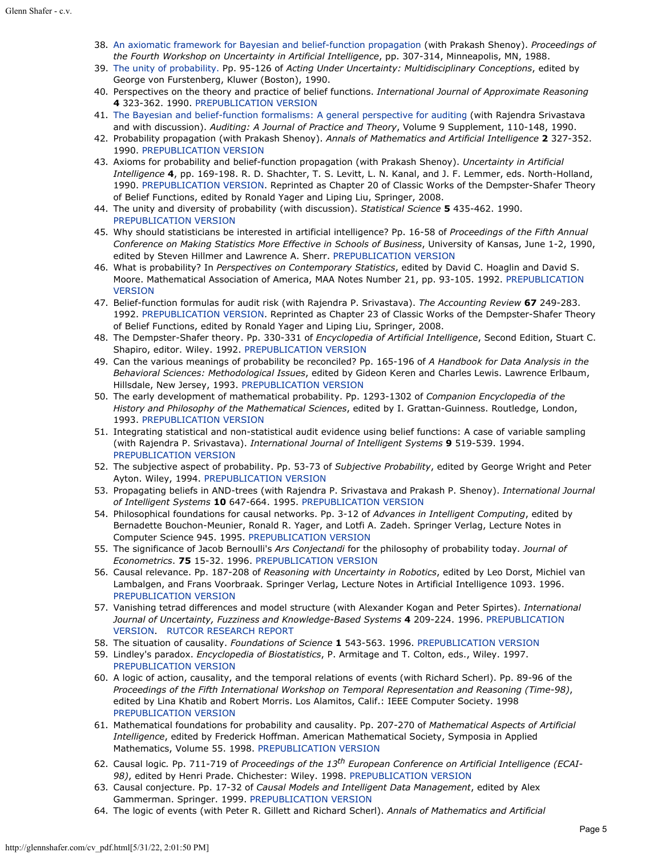- 38. [An axiomatic framework for Bayesian and belief-function propagation](http://glennshafer.com/assets/downloads/articles/article38_axiomatic.pdf) (with Prakash Shenoy). *Proceedings of the Fourth Workshop on Uncertainty in Artificial Intelligence*, pp. 307-314, Minneapolis, MN, 1988.
- 39. [The unity of probability. P](http://glennshafer.com/assets/downloads/articles/article39_unity.pdf)p. 95-126 of *Acting Under Uncertainty: Multidisciplinary Conceptions*, edited by George von Furstenberg, Kluwer (Boston), 1990.
- 40. Perspectives on the theory and practice of belief functions. *International Journal of Approximate Reasoning* **4** 323-362. 1990. [PREPUBLICATION VERSION](http://glennshafer.com/assets/downloads/articles/article40.pdf)
- 41. [The Bayesian and belief-function formalisms: A general perspective for auditing](http://glennshafer.com/assets/downloads/articles/article41_bayesian.pdf) (with Rajendra Srivastava and with discussion). *Auditing: A Journal of Practice and Theory*, Volume 9 Supplement, 110-148, 1990.
- 42. Probability propagation (with Prakash Shenoy). *Annals of Mathematics and Artificial Intelligence* **2** 327-352. 1990. [PREPUBLICATION VERSION](http://glennshafer.com/assets/downloads/articles/article42.pdf)
- 43. Axioms for probability and belief-function propagation (with Prakash Shenoy). *Uncertainty in Artificial Intelligence* **4**, pp. 169-198. R. D. Shachter, T. S. Levitt, L. N. Kanal, and J. F. Lemmer, eds. North-Holland, 1990. [PREPUBLICATION VERSION](http://glennshafer.com/assets/downloads/articles/article43.pdf). Reprinted as Chapter 20 of Classic Works of the Dempster-Shafer Theory of Belief Functions, edited by Ronald Yager and Liping Liu, Springer, 2008.
- 44. The unity and diversity of probability (with discussion). *Statistical Science* **5** 435-462. 1990. [PREPUBLICATION VERSION](http://glennshafer.com/assets/downloads/articles/article44.pdf)
- 45. Why should statisticians be interested in artificial intelligence? Pp. 16-58 of *Proceedings of the Fifth Annual Conference on Making Statistics More Effective in Schools of Business*, University of Kansas, June 1-2, 1990, edited by Steven Hillmer and Lawrence A. Sherr. [PREPUBLICATION VERSION](http://glennshafer.com/assets/downloads/articles/article45.pdf)
- 46. What is probability? In *Perspectives on Contemporary Statistics*, edited by David C. Hoaglin and David S. Moore. Mathematical Association of America, MAA Notes Number 21, pp. 93-105. 1992. [PREPUBLICATION](http://glennshafer.com/assets/downloads/articles/article46.pdf) [VERSION](http://glennshafer.com/assets/downloads/articles/article46.pdf)
- 47. Belief-function formulas for audit risk (with Rajendra P. Srivastava). *The Accounting Review* **67** 249-283. 1992. [PREPUBLICATION VERSION](http://glennshafer.com/assets/downloads/articles/article47.pdf). Reprinted as Chapter 23 of Classic Works of the Dempster-Shafer Theory of Belief Functions, edited by Ronald Yager and Liping Liu, Springer, 2008.
- 48. The Dempster-Shafer theory. Pp. 330-331 of *Encyclopedia of Artificial Intelligence*, Second Edition, Stuart C. Shapiro, editor. Wiley. 1992. [PREPUBLICATION VERSION](http://glennshafer.com/assets/downloads/articles/article48.pdf)
- 49. Can the various meanings of probability be reconciled? Pp. 165-196 of *A Handbook for Data Analysis in the Behavioral Sciences: Methodological Issues*, edited by Gideon Keren and Charles Lewis. Lawrence Erlbaum, Hillsdale, New Jersey, 1993. [PREPUBLICATION VERSION](http://glennshafer.com/assets/downloads/articles/article49.pdf)
- 50. The early development of mathematical probability. Pp. 1293-1302 of *Companion Encyclopedia of the History and Philosophy of the Mathematical Sciences*, edited by I. Grattan-Guinness. Routledge, London, 1993. [PREPUBLICATION VERSION](http://glennshafer.com/assets/downloads/articles/article50.pdf)
- 51. Integrating statistical and non-statistical audit evidence using belief functions: A case of variable sampling (with Rajendra P. Srivastava). *International Journal of Intelligent Systems* **9** 519-539. 1994. [PREPUBLICATION VERSION](http://glennshafer.com/assets/downloads/articles/article51.pdf)
- 52. The subjective aspect of probability. Pp. 53-73 of *Subjective Probability*, edited by George Wright and Peter Ayton. Wiley, 1994. [PREPUBLICATION VERSION](http://glennshafer.com/assets/downloads/articles/article52.pdf)
- 53. Propagating beliefs in AND-trees (with Rajendra P. Srivastava and Prakash P. Shenoy). *International Journal of Intelligent Systems* **10** 647-664. 1995. [PREPUBLICATION VERSION](http://glennshafer.com/assets/downloads/articles/article53.pdf)
- 54. Philosophical foundations for causal networks. Pp. 3-12 of *Advances in Intelligent Computing*, edited by Bernadette Bouchon-Meunier, Ronald R. Yager, and Lotfi A. Zadeh. Springer Verlag, Lecture Notes in Computer Science 945. 1995. [PREPUBLICATION VERSION](http://glennshafer.com/assets/downloads/articles/article54.pdf)
- 55. The significance of Jacob Bernoulli's *Ars Conjectandi* for the philosophy of probability today. *Journal of Econometrics*. **75** 15-32. 1996. [PREPUBLICATION VERSION](http://glennshafer.com/assets/downloads/articles/article55.pdf)
- 56. Causal relevance. Pp. 187-208 of *Reasoning with Uncertainty in Robotics*, edited by Leo Dorst, Michiel van Lambalgen, and Frans Voorbraak. Springer Verlag, Lecture Notes in Artificial Intelligence 1093. 1996. [PREPUBLICATION VERSION](http://glennshafer.com/assets/downloads/articles/article56.pdf)
- 57. Vanishing tetrad differences and model structure (with Alexander Kogan and Peter Spirtes). *International Journal of Uncertainty, Fuzziness and Knowledge-Based Systems* **4** 209-224. 1996. [PREPUBLICATION](http://glennshafer.com/assets/downloads/articles/article57.pdf) [VERSION](http://glennshafer.com/assets/downloads/articles/article57.pdf). [RUTCOR RESEARCH REPORT](http://glennshafer.com/assets/downloads/tetrad.pdf)
- 58. The situation of causality. *Foundations of Science* **1** 543-563. 1996. [PREPUBLICATION VERSION](http://glennshafer.com/assets/downloads/articles/article58.pdf)
- 59. Lindley's paradox. *Encyclopedia of Biostatistics*, P. Armitage and T. Colton, eds., Wiley. 1997. [PREPUBLICATION VERSION](http://glennshafer.com/assets/downloads/articles/article59.pdf)
- 60. A logic of action, causality, and the temporal relations of events (with Richard Scherl). Pp. 89-96 of the *Proceedings of the Fifth International Workshop on Temporal Representation and Reasoning (Time-98)*, edited by Lina Khatib and Robert Morris. Los Alamitos, Calif.: IEEE Computer Society. 1998 [PREPUBLICATION VERSION](http://glennshafer.com/assets/downloads/articles/article60.pdf)
- 61. Mathematical foundations for probability and causality. Pp. 207-270 of *Mathematical Aspects of Artificial Intelligence*, edited by Frederick Hoffman. American Mathematical Society, Symposia in Applied Mathematics, Volume 55. 1998. [PREPUBLICATION VERSION](http://glennshafer.com/assets/downloads/articles/article61.pdf)
- 62. Causal logic*.* Pp. 711-719 of *Proceedings of the 13th European Conference on Artificial Intelligence (ECAI-98)*, edited by Henri Prade. Chichester: Wiley. 1998. [PREPUBLICATION VERSION](http://glennshafer.com/assets/downloads/articles/article62.pdf)
- 63. Causal conjecture. Pp. 17-32 of *Causal Models and Intelligent Data Management*, edited by Alex Gammerman. Springer. 1999. [PREPUBLICATION VERSION](http://glennshafer.com/assets/downloads/articles/article63.pdf)
- 64. The logic of events (with Peter R. Gillett and Richard Scherl). *Annals of Mathematics and Artificial*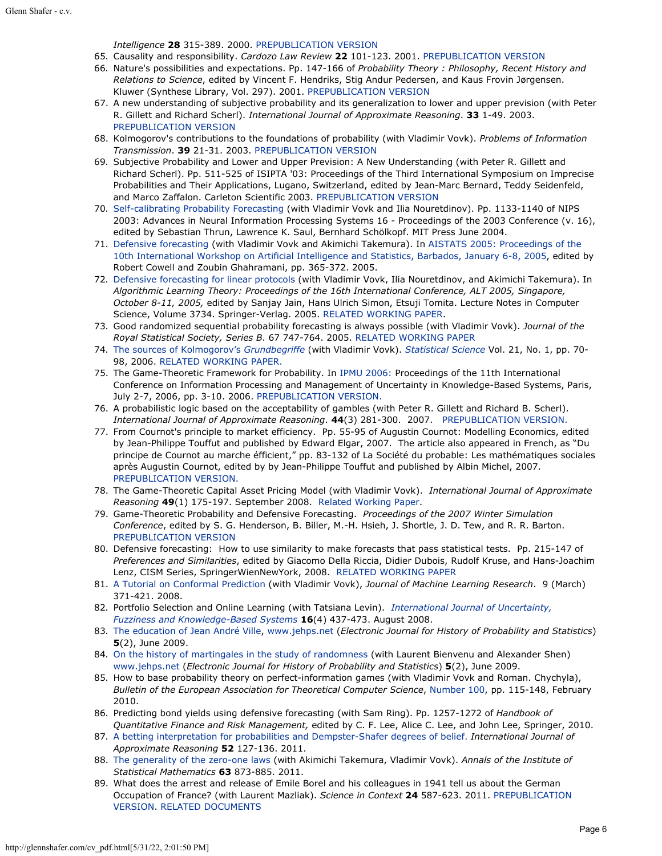*Intelligence* **28** 315-389. 2000. [PREPUBLICATION VERSION](http://glennshafer.com/assets/downloads/articles/article64_logic.pdf)

- 65. Causality and responsibility. *Cardozo Law Review* **22** 101-123. 2001. [PREPUBLICATION VERSION](http://glennshafer.com/assets/downloads/articles/article65_responsibility.pdf)
- 66. Nature's possibilities and expectations. Pp. 147-166 of *Probability Theory : Philosophy, Recent History and Relations to Science*, edited by Vincent F. Hendriks, Stig Andur Pedersen, and Kaus Frovin Jørgensen. Kluwer (Synthese Library, Vol. 297). 2001. [PREPUBLICATION VERSION](http://glennshafer.com/assets/downloads/articles/article66_nature.pdf)
- 67. A new understanding of subjective probability and its generalization to lower and upper prevision (with Peter R. Gillett and Richard Scherl). *International Journal of Approximate Reasoning*. **33** 1-49. 2003. [PREPUBLICATION VERSION](http://glennshafer.com/assets/downloads/articles/article67_gambles.pdf)
- 68. Kolmogorov's contributions to the foundations of probability (with Vladimir Vovk). *Problems of Information Transmission*. **39** 21-31. 2003. [PREPUBLICATION VERSION](http://glennshafer.com/assets/downloads/articles/article68.pdf)
- 69. Subjective Probability and Lower and Upper Prevision: A New Understanding (with Peter R. Gillett and Richard Scherl). Pp. 511-525 of ISIPTA '03: Proceedings of the Third International Symposium on Imprecise Probabilities and Their Applications, Lugano, Switzerland, edited by Jean-Marc Bernard, Teddy Seidenfeld, and Marco Zaffalon. Carleton Scientific 2003. [PREPUBLICATION VERSION](http://glennshafer.com/assets/downloads/articles/article69.pdf)
- 70. [Self-calibrating Probability Forecasting](http://glennshafer.com/assets/downloads/articles/article70_NIPS16.pdf) (with Vladimir Vovk and Ilia Nouretdinov). Pp. 1133-1140 of NIPS 2003: Advances in Neural Information Processing Systems 16 - Proceedings of the 2003 Conference (v. 16), edited by Sebastian Thrun, Lawrence K. Saul, Bernhard Schölkopf. MIT Press June 2004.
- 71. [Defensive forecasting](http://www.gatsby.ucl.ac.uk/aistats/fullpapers/224.pdf) (with Vladimir Vovk and Akimichi Takemura). In [AISTATS 2005: Proceedings of the](http://www.gatsby.ucl.ac.uk/aistats/proceedings.htm) [10th International Workshop on Artificial Intelligence and Statistics, Barbados, January 6-8, 2005](http://www.gatsby.ucl.ac.uk/aistats/proceedings.htm), edited by Robert Cowell and Zoubin Ghahramani, pp. 365-372. 2005.
- 72. [Defensive forecasting for linear protocols](http://www.springerlink.com/(4ie2hknvn004ijilwvrq2231)/app/home/contribution.asp?referrer=parent&backto=issue,35,36;journal,13,2245;linkingpublicationresults,1:105633,1) (with Vladimir Vovk, Ilia Nouretdinov, and Akimichi Takemura). In *Algorithmic Learning Theory: Proceedings of the 16th International Conference, ALT 2005, Singapore, October 8-11, 2005,* edited by Sanjay Jain, Hans Ulrich Simon, Etsuji Tomita. Lecture Notes in Computer Science, Volume 3734. Springer-Verlag. 2005. [RELATED WORKING PAPER.](http://www.probabilityandfinance.com/articles/10.pdf)
- 73. Good randomized sequential probability forecasting is always possible (with Vladimir Vovk). *Journal of the Royal Statistical Society, Series B*. 67 747-764. 2005. [RELATED WORKING PAPER](http://www.probabilityandfinance.com/articles/07.pdf)
- 74. [The sources of Kolmogorov's](http://glennshafer.com/assets/downloads/articles/article74.pdf) *[Grundbegriffe](http://glennshafer.com/assets/downloads/articles/article74.pdf)* [\(](http://glennshafer.com/assets/downloads/articles/article74.pdf)with Vladimir Vovk). *[Statistical Science](http://www.imstat.org/)* Vol. 21, No. 1, pp. 70- 98, 2006. [RELATED WORKING PAPER.](http://www.probabilityandfinance.com/articles/04.pdf)
- 75. The Game-Theoretic Framework for Probability. In [IPMU 2006:](http://ipmu2006.lip6.fr/) Proceedings of the 11th International Conference on Information Processing and Management of Uncertainty in Knowledge-Based Systems, Paris, July 2-7, 2006, pp. 3-10. 2006. [PREPUBLICATION VERSION.](http://glennshafer.com/assets/downloads/articles/article75_ipmutalk.pdf)
- 76. A probabilistic logic based on the acceptability of gambles (with Peter R. Gillett and Richard B. Scherl). *International Journal of Approximate Reasoning*. **44**(3) 281-300. 2007. [PREPUBLICATION VERSION.](http://glennshafer.com/assets/downloads/articles/article76_ProbLogIJAR.pdf)
- 77. From Cournot's principle to market efficiency. Pp. 55-95 of Augustin Cournot: Modelling Economics, edited by Jean-Philippe Touffut and published by Edward Elgar, 2007. The article also appeared in French, as "Du principe de Cournot au marche éfficient," pp. 83-132 of La Société du probable: Les mathématiques sociales après Augustin Cournot, edited by by Jean-Philippe Touffut and published by Albin Michel, 2007. [PREPUBLICATION VERSION.](http://glennshafer.com/assets/downloads/articles/article77_EFF.pdf)
- 78. The Game-Theoretic Capital Asset Pricing Model (with Vladimir Vovk). *International Journal of Approximate Reasoning* **49**(1) 175-197. September 2008. [Related Working Paper](http://www.probabilityandfinance.com/articles/01.pdf).
- 79. Game-Theoretic Probability and Defensive Forecasting. *Proceedings of the 2007 Winter Simulation Conference*, edited by S. G. Henderson, B. Biller, M.-H. Hsieh, J. Shortle, J. D. Tew, and R. R. Barton. [PREPUBLICATION VERSION](http://glennshafer.com/assets/downloads/articles/article79_wsc07shafer.pdf)
- 80. Defensive forecasting: How to use similarity to make forecasts that pass statistical tests. Pp. 215-147 of *Preferences and Similarities*, edited by Giacomo Della Riccia, Didier Dubois, Rudolf Kruse, and Hans-Joachim Lenz, CISM Series, SpringerWienNewYork, 2008. [RELATED WORKING PAPER](http://www.probabilityandfinance.com/articles/22.pdf)
- 81. [A Tutorial on Conformal Prediction](http://jmlr.csail.mit.edu/papers/volume9/shafer08a/shafer08a.pdf) (with Vladimir Vovk), *Journal of Machine Learning Research*. 9 (March) 371-421. 2008.
- 82. Portfolio Selection and Online Learning (with Tatsiana Levin). *[International Journal of Uncertainty,](http://www.worldscinet.com/cgi-bin/details.cgi?id=voliss:ijufks_1604&type=toc) [Fuzziness and Knowledge-Based Systems](http://www.worldscinet.com/cgi-bin/details.cgi?id=voliss:ijufks_1604&type=toc)* **16**(4) 437-473. August 2008.
- 83. [The education of Jean André Ville](http://www.jehps.net/juin2009/Shafer.pdf), [www.jehps.net](http://www.jehps.net/) (*Electronic Journal for History of Probability and Statistics*) **5**(2), June 2009.
- 84. [On the history of martingales in the study of randomness](http://www.jehps.net/juin2009/BienvenuShaferShen.pdf) (with Laurent Bienvenu and Alexander Shen) [www.jehps.net](http://www.jehps.net/) (*Electronic Journal for History of Probability and Statistics*) **5**(2), June 2009.
- 85. How to base probability theory on perfect-information games (with Vladimir Vovk and Roman. Chychyla), *Bulletin of the European Association for Theoretical Computer Science*, [Number 100](http://www.eatcs.org/images/bulletin/beatcs100.pdf), pp. 115-148, February 2010.
- 86. Predicting bond yields using defensive forecasting (with Sam Ring). Pp. 1257-1272 of *Handbook of Quantitative Finance and Risk Management,* edited by C. F. Lee, Alice C. Lee, and John Lee, Springer, 2010.
- 87. [A betting interpretation for probabilities and Dempster-Shafer degrees of belief.](http://arxiv.org/abs/1001.1653) *International Journal of Approximate Reasoning* **52** 127-136. 2011.
- 88. [The generality of the zero-one laws](http://arxiv.org/abs/0803.3679) (with Akimichi Takemura, Vladimir Vovk). *Annals of the Institute of Statistical Mathematics* **63** 873-885. 2011.
- 89. What does the arrest and release of Emile Borel and his colleagues in 1941 tell us about the German Occupation of France? (with Laurent Mazliak). *Science in Context* **24** 587-623. 2011. [PREPUBLICATION](http://glennshafer.com/assets/downloads/articles/article89_borel_revised_14feb2011.pdf) [VERSION](http://glennshafer.com/assets/downloads/articles/article89_borel_revised_14feb2011.pdf). [RELATED DOCUMENTS](http://glennshafer.com/assets/downloads/articles/borel_documents_11_January_2011.pdf)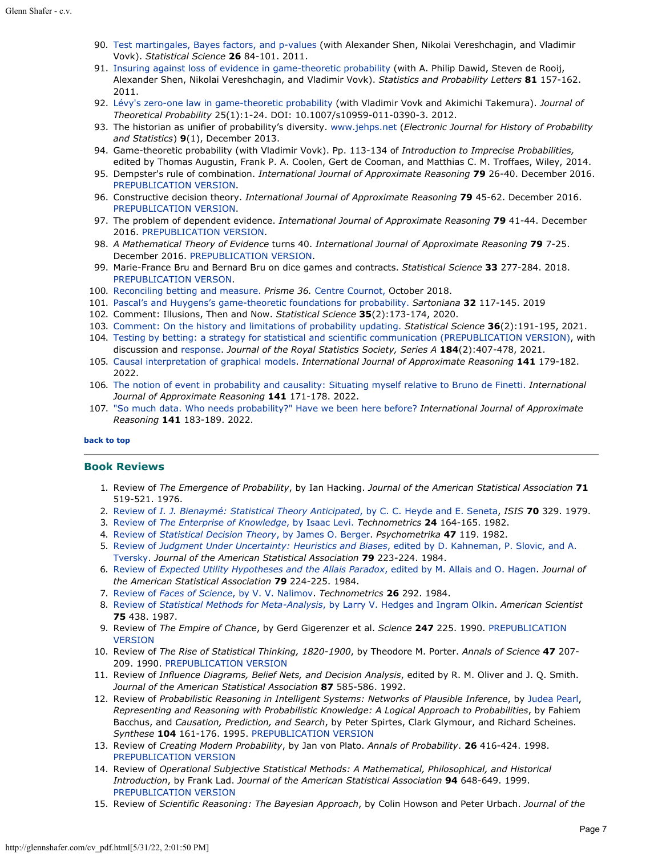- 90. [Test martingales, Bayes factors, and p-values](http://www.probabilityandfinance.com/articles/33.pdf) (with Alexander Shen, Nikolai Vereshchagin, and Vladimir Vovk). *Statistical Science* **26** 84-101. 2011.
- 91. [Insuring against loss of evidence in game-theoretic probability](http://www.probabilityandfinance.com/articles/34.pdf) (with A. Philip Dawid, Steven de Rooij, Alexander Shen, Nikolai Vereshchagin, and Vladimir Vovk). *Statistics and Probability Letters* **81** 157-162. 2011.
- 92. [Lévy's zero-one law in game-theoretic probability](http://www.springerlink.com/content/74t8375786628n24/) (with Vladimir Vovk and Akimichi Takemura). *Journal of Theoretical Probability* 25(1):1-24. DOI: 10.1007/s10959-011-0390-3. 2012.
- 93. The historian as unifier of probability's diversity. [www.jehps.net](http://www.jehps.net/) (*Electronic Journal for History of Probability and Statistics*) **9**(1), December 2013.
- 94. Game-theoretic probability (with Vladimir Vovk). Pp. 113-134 of *Introduction to Imprecise Probabilities,* edited by Thomas Augustin, Frank P. A. Coolen, Gert de Cooman, and Matthias C. M. Troffaes, Wiley, 2014.
- 95. Dempster's rule of combination. *International Journal of Approximate Reasoning* **79** 26-40. December 2016. [PREPUBLICATION VERSION.](http://glennshafer.com/assets/downloads/articles/article95_dempstersrule_120516.pdf)
- 96. Constructive decision theory. *International Journal of Approximate Reasoning* **79** 45-62. December 2016. [PREPUBLICATION VERSION.](http://glennshafer.com/assets/downloads/articles/article96_constructive-decision-theory.pdf)
- 97. The problem of dependent evidence. *International Journal of Approximate Reasoning* **79** 41-44. December 2016. [PREPUBLICATION VERSION](http://glennshafer.com/assets/downloads/articles/article97_problem-dependent-evidence.pdf).
- 98. *A Mathematical Theory of Evidence* turns 40. *International Journal of Approximate Reasoning* **79** 7-25. December 2016. [PREPUBLICATION VERSION](http://glennshafer.com/assets/downloads/MathTheoryofEvidence-turns-40.pdf).
- 99. Marie-France Bru and Bernard Bru on dice games and contracts. *Statistical Science* **33** 277-284. 2018. [PREPUBLICATION VERSON](http://glennshafer.com/assets/downloads/articles/article99_brus.pdf).
- 100. [Reconciling betting and measure.](http://glennshafer.com/assets/downloads/articles/article100_Prisme.pdf) *Prisme 36.* [Centre Cournot,](http://www.centre-cournot.org/index_en.html) October 2018.
- 101. [Pascal's and Huygens's game-theoretic foundations for probability.](http://glennshafer.com/assets/downloads/articles/article101_pascalhuygens.pdf) *Sartoniana* **32** 117-145. 2019
- 102. Comment: Illusions, Then and Now. *Statistical Science* **35**(2):173-174, 2020.
- 103. [Comment: On the history and limitations of probability updating.](http://dx.doi.org/10.1214/21-STS765A) *Statistical Science* **36**(2):191-195, 2021.
- 104. [Testing by betting: a strategy for statistical and scientific communication \(PREPUBLICATION VERSION\),](http://glennshafer.com/assets/downloads/articles/article104_jrss_shafer.pdf) with discussion and [response](http://glennshafer.com/assets/downloads/articles/article104_shafers-rss-response.pdf). *Journal of the Royal Statistics Society, Series A* **184**(2):407-478, 2021.
- 105. [Causal interpretation of graphical models](https://doi.org/10.1016/j.ijar.2021.12.014). *International Journal of Approximate Reasoning* **141** 179-182. 2022.
- 106. [The notion of event in probability and causality: Situating myself relative to Bruno de Finetti.](https://doi.org/10.1016/j.ijar.2021.12.015) *International Journal of Approximate Reasoning* **141** 171-178. 2022.
- 107. ["So much data. Who needs probability?" Have we been here before?](https://doi.org/10.1016/j.ijar.2021.12.016) *International Journal of Approximate Reasoning* **141** 183-189. 2022.

#### **[back to top](#page-0-4)**

#### <span id="page-6-0"></span>**Book Reviews**

- 1. Review of *The Emergence of Probability*, by Ian Hacking. *Journal of the American Statistical Association* **71** 519-521. 1976.
- 2. [Review of](http://glennshafer.com/assets/downloads/review02_BienaymeHeyde.pdf) *[I. J. Bienaymé: Statistical Theory Anticipated](http://glennshafer.com/assets/downloads/review02_BienaymeHeyde.pdf)*[, by C. C. Heyde and E. Seneta](http://glennshafer.com/assets/downloads/review02_BienaymeHeyde.pdf), *ISIS* **70** 329. 1979.
- 3. [Review of](http://glennshafer.com/assets/downloads/review03_enterpriseLevi.pdf) *[The Enterprise of Knowledge](http://glennshafer.com/assets/downloads/review03_enterpriseLevi.pdf)*[, by Isaac Levi.](http://glennshafer.com/assets/downloads/review03_enterpriseLevi.pdf) *Technometrics* **24** 164-165. 1982.
- 4. [Review of](http://glennshafer.com/assets/downloads/review04_decisionBerger.pdf) *[Statistical Decision Theory](http://glennshafer.com/assets/downloads/review04_decisionBerger.pdf)*[, by James O. Berger](http://glennshafer.com/assets/downloads/review04_decisionBerger.pdf). *Psychometrika* **47** 119. 1982.
- 5. [Review of](http://glennshafer.com/assets/downloads/review05_judgementKahneman.pdf) *[Judgment Under Uncertainty: Heuristics and Biases](http://glennshafer.com/assets/downloads/review05_judgementKahneman.pdf)*[, edited by D. Kahneman, P. Slovic, and A.](http://glennshafer.com/assets/downloads/review05_judgementKahneman.pdf) [Tversky.](http://glennshafer.com/assets/downloads/review05_judgementKahneman.pdf) *Journal of the American Statistical Association* **79** 223-224. 1984.
- 6. [Review of](http://glennshafer.com/assets/downloads/review06_utilityAllais.pdf) *[Expected Utility Hypotheses and the Allais Paradox](http://glennshafer.com/assets/downloads/review06_utilityAllais.pdf)*[, edited by M. Allais and O. Hagen.](http://glennshafer.com/assets/downloads/review06_utilityAllais.pdf) *Journal of the American Statistical Association* **79** 224-225. 1984.
- 7. [Review of](http://glennshafer.com/assets/downloads/review07_facesNalimov.pdf) *[Faces of Science](http://glennshafer.com/assets/downloads/review07_facesNalimov.pdf)*[, by V. V. Nalimov](http://glennshafer.com/assets/downloads/review07_facesNalimov.pdf). *Technometrics* **26** 292. 1984.
- 8. [Review of](http://glennshafer.com/assets/downloads/review08_statisHedges.pdf) *[Statistical Methods for Meta-Analysis](http://glennshafer.com/assets/downloads/review08_statisHedges.pdf)*[, by Larry V. Hedges and Ingram Olkin](http://glennshafer.com/assets/downloads/review08_statisHedges.pdf). *American Scientist* **75** 438. 1987.
- 9. Review of *The Empire of Chance*, by Gerd Gigerenzer et al. *Science* **247** 225. 1990. [PREPUBLICATION](http://glennshafer.com/assets/downloads/review9.pdf) [VERSION](http://glennshafer.com/assets/downloads/review9.pdf)
- 10. Review of *The Rise of Statistical Thinking, 1820-1900*, by Theodore M. Porter. *Annals of Science* **47** 207- 209. 1990. [PREPUBLICATION VERSION](http://glennshafer.com/assets/downloads/review10.pdf)
- 11. Review of *Influence Diagrams, Belief Nets, and Decision Analysis*, edited by R. M. Oliver and J. Q. Smith. *Journal of the American Statistical Association* **87** 585-586. 1992.
- 12. Review of *Probabilistic Reasoning in Intelligent Systems: Networks of Plausible Inference*, by [Judea Pearl](http://bayes.cs.ucla.edu/jp_home.html), *Representing and Reasoning with Probabilistic Knowledge: A Logical Approach to Probabilities*, by Fahiem Bacchus, and *Causation, Prediction, and Search*, by Peter Spirtes, Clark Glymour, and Richard Scheines. *Synthese* **104** 161-176. 1995. [PREPUBLICATION VERSION](http://glennshafer.com/assets/downloads/review12.pdf)
- 13. Review of *Creating Modern Probability*, by Jan von Plato. *Annals of Probability*. **26** 416-424. 1998. [PREPUBLICATION VERSION](http://glennshafer.com/assets/downloads/review13.pdf)
- 14. Review of *Operational Subjective Statistical Methods: A Mathematical, Philosophical, and Historical Introduction*, by Frank Lad. *Journal of the American Statistical Association* **94** 648-649. 1999. [PREPUBLICATION VERSION](http://glennshafer.com/assets/downloads/review14.pdf)
- 15. Review of *Scientific Reasoning: The Bayesian Approach*, by Colin Howson and Peter Urbach. *Journal of the*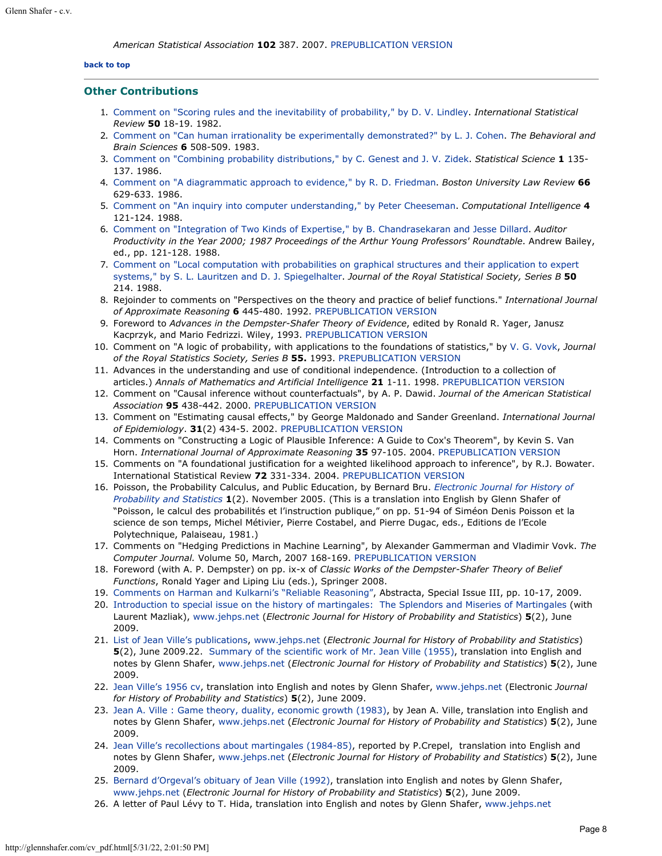#### **[back to top](#page-0-4)**

#### <span id="page-7-0"></span>**Other Contributions**

- 1. [Comment on "Scoring rules and the inevitability of probability," by D. V. Lindley](http://glennshafer.com/assets/downloads/other01_scoringLindley.pdf). *International Statistical Review* **50** 18-19. 1982.
- 2. [Comment on "Can human irrationality be experimentally demonstrated?" by L. J. Cohen](http://glennshafer.com/assets/downloads/other02_humanCohen.pdf). *The Behavioral and Brain Sciences* **6** 508-509. 1983.
- 3. [Comment on "Combining probability distributions," by C. Genest and J. V. Zidek](http://glennshafer.com/assets/downloads/other03_combiningGenest.pdf). *Statistical Science* **1** 135- 137. 1986.
- 4. [Comment on "A diagrammatic approach to evidence," by R. D. Friedman](http://glennshafer.com/assets/downloads/other04_diagramsFriedman.pdf). *Boston University Law Review* **66** 629-633. 1986.
- 5. [Comment on "An inquiry into computer understanding," by Peter Cheeseman](http://glennshafer.com/assets/downloads/other05_inquiryCheeseman.pdf). *Computational Intelligence* **4** 121-124. 1988.
- 6. [Comment on "Integration of Two Kinds of Expertise," by B. Chandrasekaran and Jesse Dillard](http://glennshafer.com/assets/downloads/other06_integrationChandra.pdf). *Auditor Productivity in the Year 2000; 1987 Proceedings of the Arthur Young Professors' Roundtable*. Andrew Bailey, ed., pp. 121-128. 1988.
- 7. [Comment on "Local computation with probabilities on graphical structures and their application to expert](http://glennshafer.com/assets/downloads/other07_localLauritzen.pdf) [systems," by S. L. Lauritzen and D. J. Spiegelhalter](http://glennshafer.com/assets/downloads/other07_localLauritzen.pdf). *Journal of the Royal Statistical Society, Series B* **50** 214. 1988.
- 8. Rejoinder to comments on "Perspectives on the theory and practice of belief functions." *International Journal of Approximate Reasoning* **6** 445-480. 1992. [PREPUBLICATION VERSION](http://glennshafer.com/assets/downloads/other8.pdf)
- 9. Foreword to *Advances in the Dempster-Shafer Theory of Evidence*, edited by Ronald R. Yager, Janusz Kacprzyk, and Mario Fedrizzi. Wiley, 1993. [PREPUBLICATION VERSION](http://glennshafer.com/assets/downloads/other9.pdf)
- 10. Comment on "A logic of probability, with applications to the foundations of statistics," by [V. G. Vovk](http://www.cs.rhul.ac.uk/%7evovk/), *Journal of the Royal Statistics Society, Series B* **55.** 1993. [PREPUBLICATION VERSION](http://glennshafer.com/assets/downloads/other10.pdf)
- 11. Advances in the understanding and use of conditional independence. (Introduction to a collection of articles.) *Annals of Mathematics and Artificial Intelligence* **21** 1-11. 1998. [PREPUBLICATION VERSION](http://glennshafer.com/assets/downloads/other11.pdf)
- 12. Comment on "Causal inference without counterfactuals", by A. P. Dawid. *Journal of the American Statistical Association* **95** 438-442. 2000. [PREPUBLICATION VERSION](http://glennshafer.com/assets/downloads/other12.pdf)
- 13. Comment on "Estimating causal effects," by George Maldonado and Sander Greenland. *International Journal of Epidemiology*. **31**(2) 434-5. 2002. [PREPUBLICATION VERSION](http://glennshafer.com/assets/downloads/other13.pdf)
- 14. Comments on "Constructing a Logic of Plausible Inference: A Guide to Cox's Theorem", by Kevin S. Van Horn. *International Journal of Approximate Reasoning* **35** 97-105. 2004. [PREPUBLICATION VERSION](http://glennshafer.com/assets/downloads/other14.pdf)
- 15. Comments on "A foundational justification for a weighted likelihood approach to inference", by R.J. Bowater. International Statistical Review **72** 331-334. 2004. [PREPUBLICATION VERSION](http://glennshafer.com/assets/downloads/other15.pdf)
- 16. Poisson, the Probability Calculus, and Public Education, by Bernard Bru. *[Electronic Journal for History of](http://www.jehps.net/) [Probability and Statistics](http://www.jehps.net/)* **1**(2). November 2005. (This is a translation into English by Glenn Shafer of "Poisson, le calcul des probabilités et l'instruction publique," on pp. 51-94 of Siméon Denis Poisson et la science de son temps, Michel Métivier, Pierre Costabel, and Pierre Dugac, eds., Editions de l'Ecole Polytechnique, Palaiseau, 1981.)
- 17. Comments on "Hedging Predictions in Machine Learning", by Alexander Gammerman and Vladimir Vovk. *The Computer Journal.* Volume 50, March, 2007 168-169. [PREPUBLICATION VERSION](http://www.glennshafer.com/assets/downloads/other17.pdf)
- 18. Foreword (with A. P. Dempster) on pp. ix-x of *Classic Works of the Dempster-Shafer Theory of Belief Functions*, Ronald Yager and Liping Liu (eds.), Springer 2008.
- 19. [Comments on Harman and Kulkarni's "Reliable Reasoning"](http://glennshafer.com/assets/downloads/other19_reliablereasoning.pdf), Abstracta, Special Issue III, pp. 10-17, 2009.
- 20. [Introduction to special issue on the history of martingales: The Splendors and Miseries of Martingales](http://www.jehps.net/juin2009/MazliakShafer.pdf) (with Laurent Mazliak), [www.jehps.net](http://www.jehps.net/) (*Electronic Journal for History of Probability and Statistics*) **5**(2), June 2009.
- 21. [List of Jean Ville's publications](http://www.jehps.net/juin2009/Ville_publications.pdf), [www.jehps.net](http://www.jehps.net/) (*Electronic Journal for History of Probability and Statistics*) **5**(2), June 2009.22. [Summary of the scientific work of Mr. Jean Ville \(1955\)](http://www.jehps.net/juin2009/Ville_notice.pdf), translation into English and notes by Glenn Shafer, [www.jehps.net](http://www.jehps.net/) (*Electronic Journal for History of Probability and Statistics*) **5**(2), June 2009.
- 22. [Jean Ville's 1956 cv](http://www.jehps.net/juin2009/Ville_cv.pdf), translation into English and notes by Glenn Shafer, [www.jehps.net](http://www.jehps.net/) (Electronic *Journal for History of Probability and Statistics*) **5**(2), June 2009.
- 23. [Jean A. Ville : Game theory, duality, economic growth \(1983\)](http://www.jehps.net/juin2009/Ville1983.pdf), by Jean A. Ville, translation into English and notes by Glenn Shafer, [www.jehps.net](http://www.jehps.net/) (*Electronic Journal for History of Probability and Statistics*) **5**(2), June 2009.
- 24. [Jean Ville's recollections about martingales \(1984-85\)](http://www.jehps.net/juin2009/Crepel.pdf), reported by P.Crepel, translation into English and notes by Glenn Shafer, [www.jehps.net](http://www.jehps.net/) (*Electronic Journal for History of Probability and Statistics*) **5**(2), June 2009.
- 25. [Bernard d'Orgeval's obituary of Jean Ville \(1992\)](http://www.jehps.net/juin2009/Orgeval.pdf), translation into English and notes by Glenn Shafer, [www.jehps.net](http://www.jehps.net/) (*Electronic Journal for History of Probability and Statistics*) **5**(2), June 2009.
- 26. A letter of Paul Lévy to T. Hida, translation into English and notes by Glenn Shafer, [www.jehps.net](http://www.jehps.net/)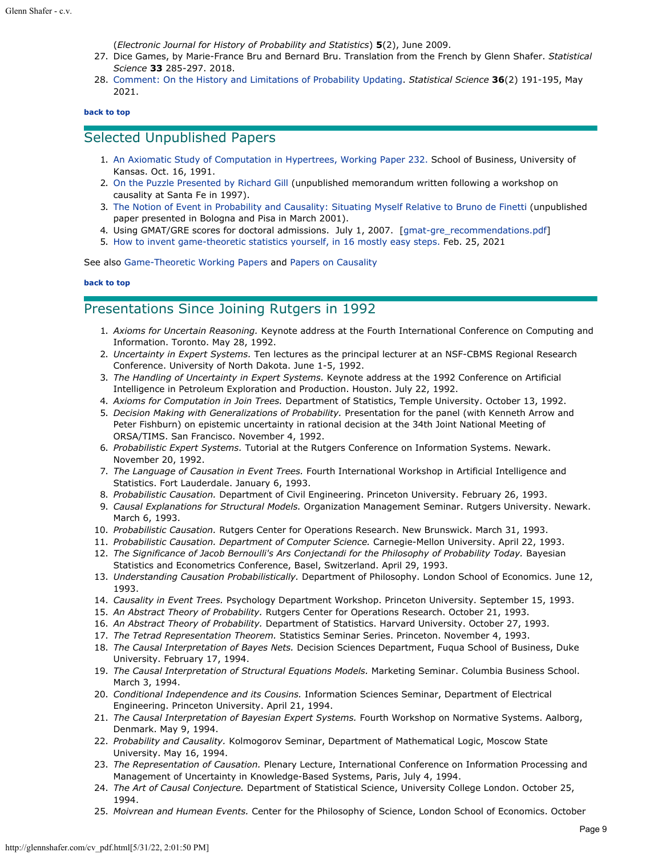(*Electronic Journal for History of Probability and Statistics*) **5**(2), June 2009.

- 27. Dice Games, by Marie-France Bru and Bernard Bru. Translation from the French by Glenn Shafer. *Statistical Science* **33** 285-297. 2018.
- 28. [Comment: On the History and Limitations of Probability Updating](https://doi.org/10.1214/21-STS765A). *Statistical Science* **36**(2) 191-195, May 2021.

#### **[back to top](#page-0-4)**

# <span id="page-8-0"></span>Selected Unpublished Papers

- 1. [An Axiomatic Study of Computation in Hypertrees, Working Paper 232.](http://glennshafer.com/assets/downloads/hypertrees_91WP232.pdf) School of Business, University of Kansas. Oct. 16, 1991.
- 2. [On the Puzzle Presented by Richard Gill](http://glennshafer.com/assets/downloads/puzzle.pdf) (unpublished memorandum written following a workshop on causality at Santa Fe in 1997).
- 3. [The Notion of Event in Probability and Causality: Situating Myself Relative to Bruno](http://glennshafer.com/assets/downloads/italy.pdf) de [Finetti](http://glennshafer.com/assets/downloads/italy.pdf) (unpublished paper presented in Bologna and Pisa in March 2001).
- 4. Using GMAT/GRE scores for doctoral admissions. July 1, 2007. [\[gmat-gre\\_recommendations.pdf](http://glennshafer.com/assets/downloads/gmat-gre_recommendations.pdf)]
- 5. [How to invent game-theoretic statistics yourself, in 16 mostly easy steps.](http://glennshafer.com/assets/downloads/invent.pdf) Feb. 25, 2021

See also [Game-Theoretic Working Papers](http://www.probabilityandfinance.com/#papers) and [Papers on Causality](http://glennshafer.com/books/causality_papers.html)

#### **[back to top](#page-0-4)**

# <span id="page-8-1"></span>Presentations Since Joining Rutgers in 1992

- 1. *Axioms for Uncertain Reasoning.* Keynote address at the Fourth International Conference on Computing and Information. Toronto. May 28, 1992.
- 2. *Uncertainty in Expert Systems.* Ten lectures as the principal lecturer at an NSF-CBMS Regional Research Conference. University of North Dakota. June 1-5, 1992.
- 3. *The Handling of Uncertainty in Expert Systems.* Keynote address at the 1992 Conference on Artificial Intelligence in Petroleum Exploration and Production. Houston. July 22, 1992.
- 4. *Axioms for Computation in Join Trees.* Department of Statistics, Temple University. October 13, 1992.
- 5. *Decision Making with Generalizations of Probability.* Presentation for the panel (with Kenneth Arrow and Peter Fishburn) on epistemic uncertainty in rational decision at the 34th Joint National Meeting of ORSA/TIMS. San Francisco. November 4, 1992.
- 6. *Probabilistic Expert Systems.* Tutorial at the Rutgers Conference on Information Systems. Newark. November 20, 1992.
- 7. *The Language of Causation in Event Trees.* Fourth International Workshop in Artificial Intelligence and Statistics. Fort Lauderdale. January 6, 1993.
- 8. *Probabilistic Causation.* Department of Civil Engineering. Princeton University. February 26, 1993.
- 9. *Causal Explanations for Structural Models.* Organization Management Seminar. Rutgers University. Newark. March 6, 1993.
- 10. *Probabilistic Causation.* Rutgers Center for Operations Research. New Brunswick. March 31, 1993.
- 11. *Probabilistic Causation. Department of Computer Science.* Carnegie-Mellon University. April 22, 1993.
- 12. *The Significance of Jacob Bernoulli's Ars Conjectandi for the Philosophy of Probability Today.* Bayesian Statistics and Econometrics Conference, Basel, Switzerland. April 29, 1993.
- 13. *Understanding Causation Probabilistically.* Department of Philosophy. London School of Economics. June 12, 1993.
- 14. *Causality in Event Trees.* Psychology Department Workshop. Princeton University. September 15, 1993.
- 15. *An Abstract Theory of Probability.* Rutgers Center for Operations Research. October 21, 1993.
- 16. *An Abstract Theory of Probability.* Department of Statistics. Harvard University. October 27, 1993.
- 17. *The Tetrad Representation Theorem.* Statistics Seminar Series. Princeton. November 4, 1993.
- 18. *The Causal Interpretation of Bayes Nets.* Decision Sciences Department, Fuqua School of Business, Duke University. February 17, 1994.
- 19. *The Causal Interpretation of Structural Equations Models.* Marketing Seminar. Columbia Business School. March 3, 1994.
- 20. *Conditional Independence and its Cousins.* Information Sciences Seminar, Department of Electrical Engineering. Princeton University. April 21, 1994.
- 21. *The Causal Interpretation of Bayesian Expert Systems.* Fourth Workshop on Normative Systems. Aalborg, Denmark. May 9, 1994.
- 22. *Probability and Causality.* Kolmogorov Seminar, Department of Mathematical Logic, Moscow State University. May 16, 1994.
- 23. *The Representation of Causation.* Plenary Lecture, International Conference on Information Processing and Management of Uncertainty in Knowledge-Based Systems, Paris, July 4, 1994.
- 24. *The Art of Causal Conjecture.* Department of Statistical Science, University College London. October 25, 1994.
- 25. *Moivrean and Humean Events.* Center for the Philosophy of Science, London School of Economics. October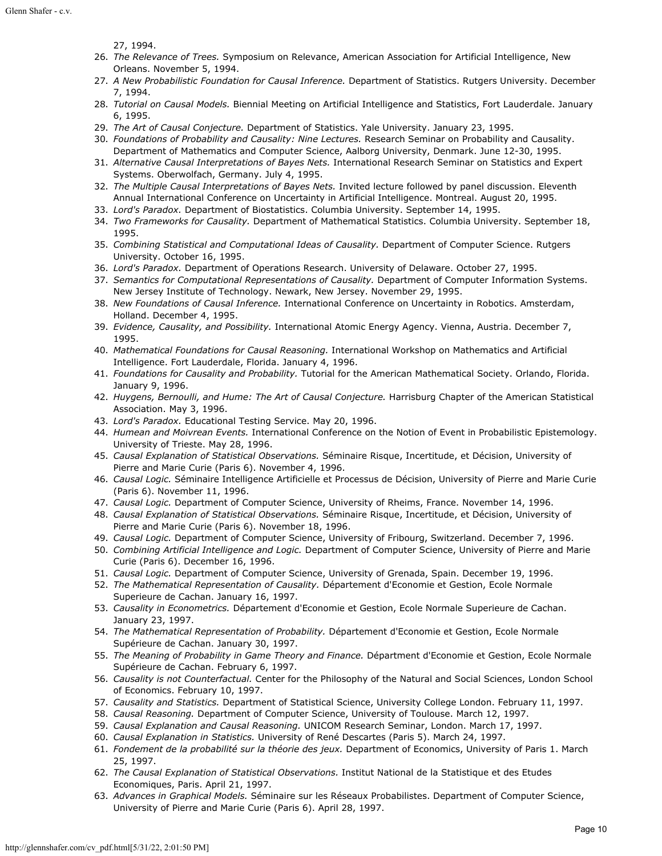27, 1994.

- 26. *The Relevance of Trees.* Symposium on Relevance, American Association for Artificial Intelligence, New Orleans. November 5, 1994.
- 27. *A New Probabilistic Foundation for Causal Inference.* Department of Statistics. Rutgers University. December 7, 1994.
- 28. *Tutorial on Causal Models.* Biennial Meeting on Artificial Intelligence and Statistics, Fort Lauderdale. January 6, 1995.
- 29. *The Art of Causal Conjecture.* Department of Statistics. Yale University. January 23, 1995.
- 30. *Foundations of Probability and Causality: Nine Lectures.* Research Seminar on Probability and Causality. Department of Mathematics and Computer Science, Aalborg University, Denmark. June 12-30, 1995.
- 31. *Alternative Causal Interpretations of Bayes Nets.* International Research Seminar on Statistics and Expert Systems. Oberwolfach, Germany. July 4, 1995.
- 32. *The Multiple Causal Interpretations of Bayes Nets.* Invited lecture followed by panel discussion. Eleventh Annual International Conference on Uncertainty in Artificial Intelligence. Montreal. August 20, 1995.
- 33. *Lord's Paradox.* Department of Biostatistics. Columbia University. September 14, 1995.
- 34. *Two Frameworks for Causality.* Department of Mathematical Statistics. Columbia University. September 18, 1995.
- 35. *Combining Statistical and Computational Ideas of Causality.* Department of Computer Science. Rutgers University. October 16, 1995.
- 36. *Lord's Paradox.* Department of Operations Research. University of Delaware. October 27, 1995.
- 37. *Semantics for Computational Representations of Causality.* Department of Computer Information Systems. New Jersey Institute of Technology. Newark, New Jersey. November 29, 1995.
- 38. *New Foundations of Causal Inference.* International Conference on Uncertainty in Robotics. Amsterdam, Holland. December 4, 1995.
- 39. *Evidence, Causality, and Possibility.* International Atomic Energy Agency. Vienna, Austria. December 7, 1995.
- 40. *Mathematical Foundations for Causal Reasoning.* International Workshop on Mathematics and Artificial Intelligence. Fort Lauderdale, Florida. January 4, 1996.
- 41. *Foundations for Causality and Probability.* Tutorial for the American Mathematical Society. Orlando, Florida. January 9, 1996.
- 42. *Huygens, Bernoulli, and Hume: The Art of Causal Conjecture.* Harrisburg Chapter of the American Statistical Association. May 3, 1996.
- 43. *Lord's Paradox.* Educational Testing Service. May 20, 1996.
- 44. *Humean and Moivrean Events.* International Conference on the Notion of Event in Probabilistic Epistemology. University of Trieste. May 28, 1996.
- 45. *Causal Explanation of Statistical Observations.* Séminaire Risque, Incertitude, et Décision, University of Pierre and Marie Curie (Paris 6). November 4, 1996.
- 46. *Causal Logic.* Séminaire Intelligence Artificielle et Processus de Décision, University of Pierre and Marie Curie (Paris 6). November 11, 1996.
- 47. *Causal Logic.* Department of Computer Science, University of Rheims, France. November 14, 1996.
- 48. *Causal Explanation of Statistical Observations.* Séminaire Risque, Incertitude, et Décision, University of Pierre and Marie Curie (Paris 6). November 18, 1996.
- 49. *Causal Logic.* Department of Computer Science, University of Fribourg, Switzerland. December 7, 1996.
- 50. *Combining Artificial Intelligence and Logic.* Department of Computer Science, University of Pierre and Marie Curie (Paris 6). December 16, 1996.
- 51. *Causal Logic.* Department of Computer Science, University of Grenada, Spain. December 19, 1996.
- 52. *The Mathematical Representation of Causality.* Département d'Economie et Gestion, Ecole Normale Superieure de Cachan. January 16, 1997.
- 53. *Causality in Econometrics.* Département d'Economie et Gestion, Ecole Normale Superieure de Cachan. January 23, 1997.
- 54. *The Mathematical Representation of Probability.* Département d'Economie et Gestion, Ecole Normale Supérieure de Cachan. January 30, 1997.
- 55. *The Meaning of Probability in Game Theory and Finance.* Départment d'Economie et Gestion, Ecole Normale Supérieure de Cachan. February 6, 1997.
- 56. *Causality is not Counterfactual.* Center for the Philosophy of the Natural and Social Sciences, London School of Economics. February 10, 1997.
- 57. *Causality and Statistics.* Department of Statistical Science, University College London. February 11, 1997.
- 58. *Causal Reasoning.* Department of Computer Science, University of Toulouse. March 12, 1997.
- 59. *Causal Explanation and Causal Reasoning.* UNICOM Research Seminar, London. March 17, 1997.
- 60. *Causal Explanation in Statistics.* University of René Descartes (Paris 5). March 24, 1997.
- 61. *Fondement de la probabilité sur la théorie des jeux.* Department of Economics, University of Paris 1. March 25, 1997.
- 62. *The Causal Explanation of Statistical Observations.* Institut National de la Statistique et des Etudes Economiques, Paris. April 21, 1997.
- 63. *Advances in Graphical Models.* Séminaire sur les Réseaux Probabilistes. Department of Computer Science, University of Pierre and Marie Curie (Paris 6). April 28, 1997.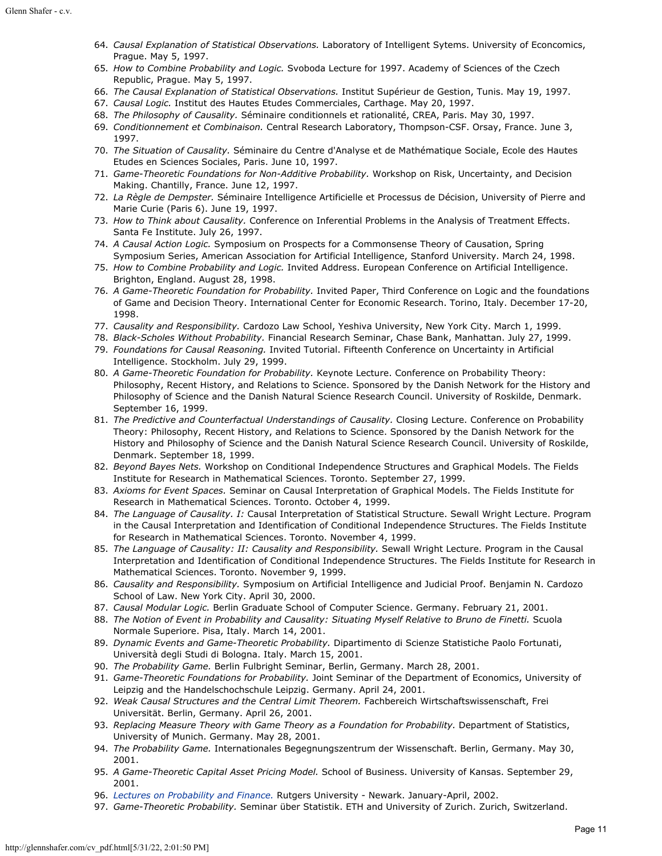- 64. *Causal Explanation of Statistical Observations.* Laboratory of Intelligent Sytems. University of Econcomics, Prague. May 5, 1997.
- 65. *How to Combine Probability and Logic.* Svoboda Lecture for 1997. Academy of Sciences of the Czech Republic, Prague. May 5, 1997.
- 66. *The Causal Explanation of Statistical Observations.* Institut Supérieur de Gestion, Tunis. May 19, 1997.
- 67. *Causal Logic.* Institut des Hautes Etudes Commerciales, Carthage. May 20, 1997.
- 68. *The Philosophy of Causality.* Séminaire conditionnels et rationalité, CREA, Paris. May 30, 1997.
- 69. *Conditionnement et Combinaison.* Central Research Laboratory, Thompson-CSF. Orsay, France. June 3, 1997.
- 70. *The Situation of Causality.* Séminaire du Centre d'Analyse et de Mathématique Sociale, Ecole des Hautes Etudes en Sciences Sociales, Paris. June 10, 1997.
- 71. *Game-Theoretic Foundations for Non-Additive Probability.* Workshop on Risk, Uncertainty, and Decision Making. Chantilly, France. June 12, 1997.
- 72. *La Règle de Dempster.* Séminaire Intelligence Artificielle et Processus de Décision, University of Pierre and Marie Curie (Paris 6). June 19, 1997.
- 73. *How to Think about Causality.* Conference on Inferential Problems in the Analysis of Treatment Effects. Santa Fe Institute. July 26, 1997.
- 74. *A Causal Action Logic.* Symposium on Prospects for a Commonsense Theory of Causation, Spring Symposium Series, American Association for Artificial Intelligence, Stanford University. March 24, 1998.
- 75. *How to Combine Probability and Logic.* Invited Address. European Conference on Artificial Intelligence. Brighton, England. August 28, 1998.
- 76. *A Game-Theoretic Foundation for Probability.* Invited Paper, Third Conference on Logic and the foundations of Game and Decision Theory. International Center for Economic Research. Torino, Italy. December 17-20, 1998.
- 77. *Causality and Responsibility.* Cardozo Law School, Yeshiva University, New York City. March 1, 1999.
- 78. *Black-Scholes Without Probability.* Financial Research Seminar, Chase Bank, Manhattan. July 27, 1999.
- 79. *Foundations for Causal Reasoning.* Invited Tutorial. Fifteenth Conference on Uncertainty in Artificial Intelligence. Stockholm. July 29, 1999.
- 80. *A Game-Theoretic Foundation for Probability.* Keynote Lecture. Conference on Probability Theory: Philosophy, Recent History, and Relations to Science. Sponsored by the Danish Network for the History and Philosophy of Science and the Danish Natural Science Research Council. University of Roskilde, Denmark. September 16, 1999.
- 81. *The Predictive and Counterfactual Understandings of Causality.* Closing Lecture. Conference on Probability Theory: Philosophy, Recent History, and Relations to Science. Sponsored by the Danish Network for the History and Philosophy of Science and the Danish Natural Science Research Council. University of Roskilde, Denmark. September 18, 1999.
- 82. *Beyond Bayes Nets.* Workshop on Conditional Independence Structures and Graphical Models. The Fields Institute for Research in Mathematical Sciences. Toronto. September 27, 1999.
- 83. *Axioms for Event Spaces.* Seminar on Causal Interpretation of Graphical Models. The Fields Institute for Research in Mathematical Sciences. Toronto. October 4, 1999.
- 84. *The Language of Causality. I:* Causal Interpretation of Statistical Structure. Sewall Wright Lecture. Program in the Causal Interpretation and Identification of Conditional Independence Structures. The Fields Institute for Research in Mathematical Sciences. Toronto. November 4, 1999.
- 85. *The Language of Causality: II: Causality and Responsibility.* Sewall Wright Lecture. Program in the Causal Interpretation and Identification of Conditional Independence Structures. The Fields Institute for Research in Mathematical Sciences. Toronto. November 9, 1999.
- 86. *Causality and Responsibility.* Symposium on Artificial Intelligence and Judicial Proof. Benjamin N. Cardozo School of Law. New York City. April 30, 2000.
- 87. *Causal Modular Logic.* Berlin Graduate School of Computer Science. Germany. February 21, 2001.
- 88. *The Notion of Event in Probability and Causality: Situating Myself Relative to Bruno de Finetti.* Scuola Normale Superiore. Pisa, Italy. March 14, 2001.
- 89. *Dynamic Events and Game-Theoretic Probability.* Dipartimento di Scienze Statistiche Paolo Fortunati, Università degli Studi di Bologna. Italy. March 15, 2001.
- 90. *The Probability Game.* Berlin Fulbright Seminar, Berlin, Germany. March 28, 2001.
- 91. *Game-Theoretic Foundations for Probability.* Joint Seminar of the Department of Economics, University of Leipzig and the Handelschochschule Leipzig. Germany. April 24, 2001.
- 92. *Weak Causal Structures and the Central Limit Theorem.* Fachbereich Wirtschaftswissenschaft, Frei Universität. Berlin, Germany. April 26, 2001.
- 93. *Replacing Measure Theory with Game Theory as a Foundation for Probability.* Department of Statistics, University of Munich. Germany. May 28, 2001.
- 94. *The Probability Game.* Internationales Begegnungszentrum der Wissenschaft. Berlin, Germany. May 30, 2001.
- 95. *A Game-Theoretic Capital Asset Pricing Model.* School of Business. University of Kansas. September 29, 2001.
- 96. *[Lectures on Probability and Finance.](http://www.glennshafer.com/public_lectures.html)* Rutgers University Newark. January-April, 2002.
- 97. *Game-Theoretic Probability.* Seminar über Statistik. ETH and University of Zurich. Zurich, Switzerland.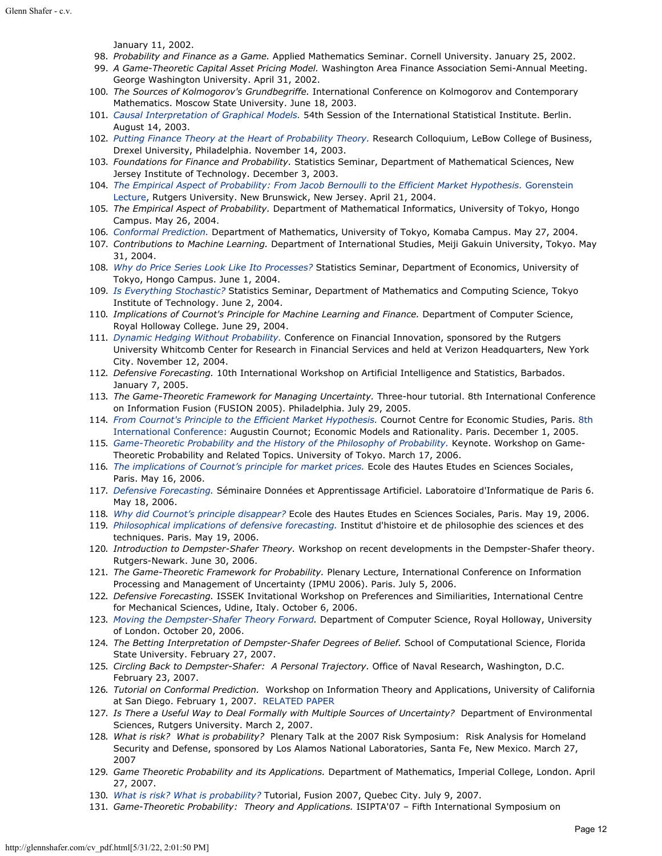January 11, 2002.

- 98. *Probability and Finance as a Game.* Applied Mathematics Seminar. Cornell University. January 25, 2002.
- 99. *A Game-Theoretic Capital Asset Pricing Model.* Washington Area Finance Association Semi-Annual Meeting. George Washington University. April 31, 2002.
- 100. *The Sources of Kolmogorov's Grundbegriffe.* International Conference on Kolmogorov and Contemporary Mathematics. Moscow State University. June 18, 2003.
- 101. *[Causal Interpretation of Graphical Models.](http://www.glennshafer.com/assets/downloads/talks101_causalgraphical.pdf)* 54th Session of the International Statistical Institute. Berlin. August 14, 2003.
- 102. *[Putting Finance Theory at the Heart of Probability Theory.](http://www.glennshafer.com/assets/downloads/finance_heart.pdf)* Research Colloquium, LeBow College of Business, Drexel University, Philadelphia. November 14, 2003.
- 103. *Foundations for Finance and Probability.* Statistics Seminar, Department of Mathematical Sciences, New Jersey Institute of Technology. December 3, 2003.
- 104. *[The Empirical Aspect of Probability: From Jacob Bernoulli to the Efficient Market Hypothesis.](http://www.glennshafer.com/assets/downloads/gorenstein.pdf)* [Gorenstein](http://www.glennshafer.com/assets/downloads/reward.pdf) [Lecture](http://www.glennshafer.com/assets/downloads/reward.pdf), Rutgers University. New Brunswick, New Jersey. April 21, 2004.
- 105. *The Empirical Aspect of Probability.* Department of Mathematical Informatics, University of Tokyo, Hongo Campus. May 26, 2004.
- 106. *[Conformal Prediction.](http://www.glennshafer.com/assets/downloads/conformal.pdf)* Department of Mathematics, University of Tokyo, Komaba Campus. May 27, 2004.
- 107. *Contributions to Machine Learning.* Department of International Studies, Meiji Gakuin University, Tokyo. May 31, 2004.
- 108. *[Why do Price Series Look Like Ito Processes?](http://www.glennshafer.com/assets/downloads/ito.pdf)* Statistics Seminar, Department of Economics, University of Tokyo, Hongo Campus. June 1, 2004.
- 109. *[Is Everything Stochastic?](http://www.glennshafer.com/assets/downloads/every.pdf)* Statistics Seminar, Department of Mathematics and Computing Science, Tokyo Institute of Technology. June 2, 2004.
- 110. *Implications of Cournot's Principle for Machine Learning and Finance.* Department of Computer Science, Royal Holloway College. June 29, 2004.
- 111. *[Dynamic Hedging Without Probability.](http://www.glennshafer.com/assets/downloads/dynamic.pdf)* Conference on Financial Innovation, sponsored by the Rutgers University Whitcomb Center for Research in Financial Services and held at Verizon Headquarters, New York City. November 12, 2004.
- 112. *Defensive Forecasting.* 10th International Workshop on Artificial Intelligence and Statistics, Barbados. January 7, 2005.
- 113. *The Game-Theoretic Framework for Managing Uncertainty.* Three-hour tutorial. 8th International Conference on Information Fusion (FUSION 2005). Philadelphia. July 29, 2005.
- 114. *[From Cournot's Principle to the Efficient Market Hypothesis.](http://www.glennshafer.com/assets/downloads/cournot.pdf)* Cournot Centre for Economic Studies, Paris. [8th](http://www.glennshafer.com/assets/downloads/Programme_English.pdf) [International Conference:](http://www.glennshafer.com/assets/downloads/Programme_English.pdf) Augustin Cournot; Economic Models and Rationality. Paris. December 1, 2005.
- 115. *[Game-Theoretic Probability and the History of the Philosophy of Probability.](http://glennshafer.com/assets/downloads/talks115_toyko06.pdf)* Keynote. Workshop on Game-Theoretic Probability and Related Topics. University of Tokyo. March 17, 2006.
- 116. *[The implications of Cournot's principle for market prices.](http://www.glennshafer.com/assets/downloads/prices.pdf)* Ecole des Hautes Etudes en Sciences Sociales, Paris. May 16, 2006.
- 117. *[Defensive Forecasting.](http://www.glennshafer.com/assets/downloads/defensive.pdf)* Séminaire Données et Apprentissage Artificiel. Laboratoire d'Informatique de Paris 6. May 18, 2006.
- 118. *[Why did Cournot's principle disappear?](http://www.glennshafer.com/assets/downloads/disappear.pdf)* Ecole des Hautes Etudes en Sciences Sociales, Paris. May 19, 2006.
- 119. *[Philosophical implications of defensive forecasting.](http://www.glennshafer.com/assets/downloads/philosophy.pdf)* Institut d'histoire et de philosophie des sciences et des techniques. Paris. May 19, 2006.
- 120. *Introduction to Dempster-Shafer Theory.* Workshop on recent developments in the Dempster-Shafer theory. Rutgers-Newark. June 30, 2006.
- 121. *The Game-Theoretic Framework for Probability.* Plenary Lecture, International Conference on Information Processing and Management of Uncertainty (IPMU 2006). Paris. July 5, 2006.
- 122. *Defensive Forecasting.* ISSEK Invitational Workshop on Preferences and Similiarities, International Centre for Mechanical Sciences, Udine, Italy. October 6, 2006.
- 123. *[Moving the Dempster-Shafer Theory Forward](http://www.cs.rhul.ac.uk/Outreach/News-and-Events/2006/shafer.html).* Department of Computer Science, Royal Holloway, University of London. October 20, 2006.
- 124. *The Betting Interpretation of Dempster-Shafer Degrees of Belief.* School of Computational Science, Florida State University. February 27, 2007.
- 125. *Circling Back to Dempster-Shafer: A Personal Trajectory.* Office of Naval Research, Washington, D.C. February 23, 2007.
- 126. *Tutorial on Conformal Prediction.* Workshop on Information Theory and Applications, University of California at San Diego. February 1, 2007. [RELATED PAPER](http://www.glennshafer.com/assets/downloads/03.pdf)
- 127. *Is There a Useful Way to Deal Formally with Multiple Sources of Uncertainty?* Department of Environmental Sciences, Rutgers University. March 2, 2007.
- 128. *What is risk? What is probability?* Plenary Talk at the 2007 Risk Symposium: Risk Analysis for Homeland Security and Defense, sponsored by Los Alamos National Laboratories, Santa Fe, New Mexico. March 27, 2007
- 129. *Game Theoretic Probability and its Applications.* Department of Mathematics, Imperial College, London. April 27, 2007.
- 130. *[What](http://www.glennshafer.com/assets/downloads/fusion07%20augment.pdf) is risk? [What is probability?](http://www.glennshafer.com/assets/downloads/fusion07%20augment.pdf)* Tutorial, Fusion 2007, Quebec City. July 9, 2007.
- 131. *Game-Theoretic Probability: Theory and Applications.* ISIPTA'07 Fifth International Symposium on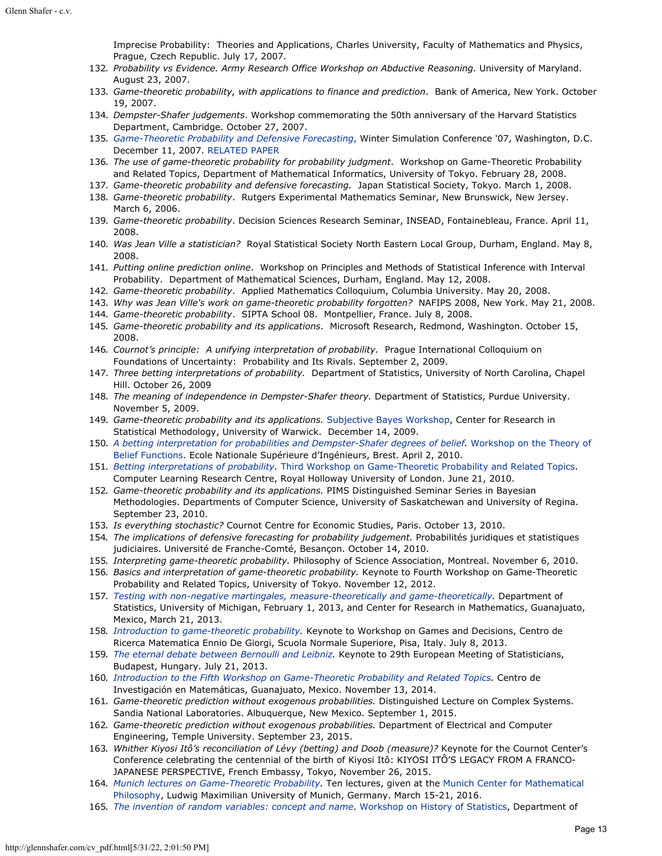Imprecise Probability: Theories and Applications, Charles University, Faculty of Mathematics and Physics, Prague, Czech Republic. July 17, 2007.

- 132. *Probability vs Evidence. Army Research Office Workshop on Abductive Reasoning.* University of Maryland. August 23, 2007.
- 133. *Game-theoretic probability, with applications to finance and prediction*. Bank of America, New York. October 19, 2007.
- 134. *Dempster-Shafer judgements*. Workshop commemorating the 50th anniversary of the Harvard Statistics Department, Cambridge. October 27, 2007.
- 135. *[Game-Theoretic Probability and Defensive Forecasting](http://www.glennshafer.com/assets/downloads/wsc07.pdf)*[,](http://www.glennshafer.com/assets/downloads/wsc07.pdf) Winter Simulation Conference '07, Washington, D.C. December 11, 2007. [RELATED PAPER](http://www.glennshafer.com/assets/downloads/wsc07shafer.pdf)
- 136. *The use of game-theoretic probability for probability judgment*. Workshop on Game-Theoretic Probability and Related Topics, Department of Mathematical Informatics, University of Tokyo. February 28, 2008.
- 137. *Game-theoretic probability and defensive forecasting.* Japan Statistical Society, Tokyo. March 1, 2008.
- 138. *Game-theoretic probability*. Rutgers Experimental Mathematics Seminar, New Brunswick, New Jersey. March 6, 2006.
- 139. *Game-theoretic probability*. Decision Sciences Research Seminar, INSEAD, Fontainebleau, France. April 11, 2008.
- 140. *Was Jean Ville a statistician?* Royal Statistical Society North Eastern Local Group, Durham, England. May 8, 2008.
- 141. *Putting online prediction online*. Workshop on Principles and Methods of Statistical Inference with Interval Probability. Department of Mathematical Sciences, Durham, England. May 12, 2008.
- 142. *Game-theoretic probability*. Applied Mathematics Colloquium, Columbia University. May 20, 2008.
- 143. *Why was Jean Ville's work on game-theoretic probability forgotten?* NAFIPS 2008, New York. May 21, 2008.
- 144. *Game-theoretic probability*. SIPTA School 08. Montpellier, France. July 8, 2008.
- 145. *Game-theoretic probability and its applications*. Microsoft Research, Redmond, Washington. October 15, 2008.
- 146. *Cournot's principle: A unifying interpretation of probability.* Prague International Colloquium on Foundations of Uncertainty: Probability and Its Rivals. September 2, 2009.
- 147. *Three betting interpretations of probability.* Department of Statistics, University of North Carolina, Chapel Hill. October 26, 2009
- 148. *The meaning of independence in Dempster-Shafer theory.* Department of Statistics, Purdue University. November 5, 2009.
- 149. *Game-theoretic probability and its applications.* [Subjective Bayes Workshop](http://www2.warwick.ac.uk/fac/sci/statistics/crism/workshops/subjective_bayes/programme/), Center for Research in Statistical Methodology, University of Warwick. December 14, 2009.
- 150. *[A betting interpretation for probabilities and Dempster-Shafer degrees of belief](http://www.ensieta.fr/belief2010/Doc/ShaferSlides.pdf).* [Workshop on the Theory of](http://www.ensieta.fr/belief2010/Doc/ShaferSlides.pdf) [Belief Functions](http://www.ensieta.fr/belief2010/Doc/ShaferSlides.pdf). Ecole Nationale Supérieure d'Ingénieurs, Brest. April 2, 2010.
- 151. *[Betting interpretations of probability.](http://www.clrc.rhul.ac.uk/GTP2010/Day1/glenn.shafer.pdf)* [Third Workshop on Game-Theoretic Probability and Related Topics](http://www.clrc.rhul.ac.uk/GTP2010/). Computer Learning Research Centre, Royal Holloway University of London. June 21, 2010.
- 152. *Game-theoretic probability and its applications.* PIMS Distinguished Seminar Series in Bayesian Methodologies. Departments of Computer Science, University of Saskatchewan and University of Regina. September 23, 2010.
- 153. *Is everything stochastic?* Cournot Centre for Economic Studies, Paris. October 13, 2010.
- 154. *The implications of defensive forecasting for probability judgement.* Probabilités juridiques et statistiques judiciaires. Université de Franche-Comté, Besançon. October 14, 2010.
- 155. *Interpreting game-theoretic probability.* Philosophy of Science Association, Montreal. November 6, 2010.
- 156. *Basics and interpretation of game-theoretic probability.* Keynote to Fourth Workshop on Game-Theoretic Probability and Related Topics, University of Tokyo. November 12, 2012.
- 157. *[Testing with non-negative martingales, measure-theoretically and game-theoretically](http://www.glennshafer.com/assets/downloads/talks157_TestMartingales-CIMAT.pdf).* Department of Statistics, University of Michigan, February 1, 2013, and Center for Research in Mathematics, Guanajuato, Mexico, March 21, 2013.
- 158. *[Introduction to game-theoretic probability](http://www.glennshafer.com/assets/downloads/talks158_IsEverythingStochastic.pdf).* Keynote to Workshop on Games and Decisions, Centro de Ricerca Matematica Ennio De Giorgi, Scuola Normale Superiore, Pisa, Italy. July 8, 2013.
- 159. *[The eternal debate between Bernoulli and Leibniz.](http://www.glennshafer.com/assets/downloads/talks159_budapest-for-stigler.pdf)* Keynote to 29th European Meeting of Statisticians, Budapest, Hungary. July 21, 2013.
- 160. *[Introduction to the Fifth Workshop on Game-Theoretic Probability and Related Topics](http://www.glennshafer.com/assets/downloads/talks160_keynote.pdf).* Centro de Investigación en Matemáticas, Guanajuato, Mexico. November 13, 2014.
- 161. *Game-theoretic prediction without exogenous probabilities.* Distinguished Lecture on Complex Systems. Sandia National Laboratories. Albuquerque, New Mexico. September 1, 2015.
- 162. *Game-theoretic prediction without exogenous probabilities.* Department of Electrical and Computer Engineering, Temple University. September 23, 2015.
- 163. *Whither Kiyosi Itô's reconciliation of Lévy (betting) and Doob (measure)?* Keynote for the Cournot Center's Conference celebrating the centennial of the birth of Kiyosi Itô: KIYOSI ITÔ'S LEGACY FROM A FRANCO-JAPANESE PERSPECTIVE, French Embassy, Tokyo, November 26, 2015.
- 164. *[Munich lectures on Game-Theoretic Probability](https://philpharmblog.wordpress.com/2016/02/02/seminar-on-the-philosophy-of-game-theoretic-probability/).* Ten lectures, given at the [Munich Center for Mathematical](http://www.mcmp.philosophie.uni-muenchen.de/index.html) [Philosophy](http://www.mcmp.philosophie.uni-muenchen.de/index.html), Ludwig Maximilian University of Munich, Germany. March 15-21, 2016.
- 165. *[The invention of random variables: concept and name](http://glennshafer.com/assets/downloads/talks165_invention-random-variables.pdf)*. [Workshop on History of Statistics](http://statsoz-neu.userweb.mwn.de/research/ws_historystatistik_2016/), Department of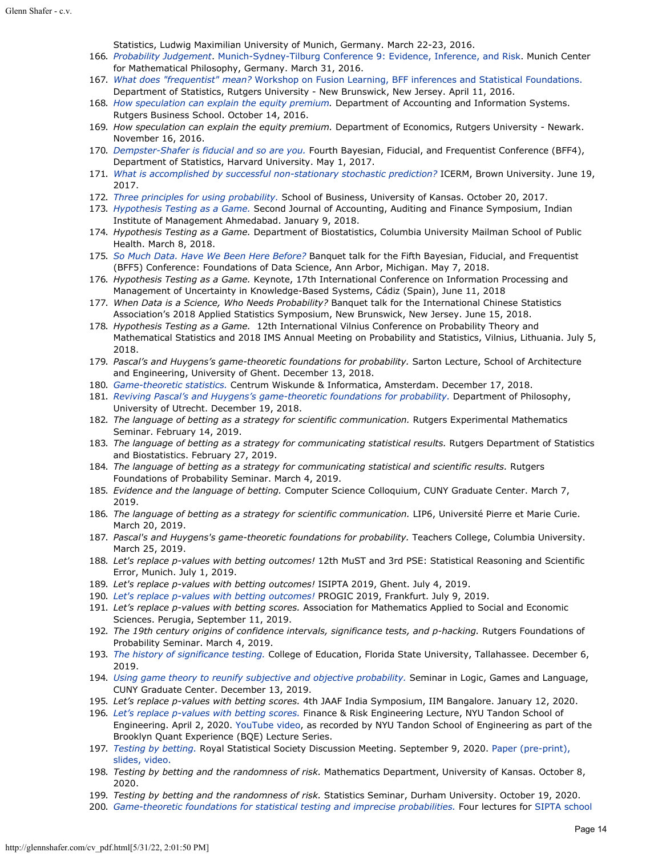Statistics, Ludwig Maximilian University of Munich, Germany. March 22-23, 2016.

- 166. *[Probability Judgement](http://glennshafer.com/assets/downloads/talks166_EvidenceConference.pdf)*. [Munich-Sydney-Tilburg Conference 9: Evidence, Inference, and Risk](http://www.must2016.philosophie.uni-muenchen.de/program/index.html). Munich Center for Mathematical Philosophy, Germany. March 31, 2016.
- 167. *[What does "frequentist" mean?](http://glennshafer.com/assets/downloads/talks167_BFF.pdf)* [Workshop on Fusion Learning, BFF inferences and Statistical Foundations.](http://stat.rutgers.edu/bff2016-program) Department of Statistics, Rutgers University - New Brunswick, New Jersey. April 11, 2016.
- 168. *[How speculation can explain the equity premium](http://glennshafer.com/assets/downloads/talks168_speculation_16Nov2016.pdf).* Department of Accounting and Information Systems. Rutgers Business School. October 14, 2016.
- 169. *How speculation can explain the equity premium.* Department of Economics, Rutgers University Newark. November 16, 2016.
- 170. *[Dempster-Shafer is fiducial and so are you.](http://glennshafer.com/assets/downloads/talks170_fiducial-Harvard_BFF.pdf)* Fourth Bayesian, Fiducial, and Frequentist Conference (BFF4), Department of Statistics, Harvard University. May 1, 2017.
- 171. *[What is accomplished by successful non-stationary stochastic prediction?](http://glennshafer.com/assets/downloads/talks171_shaferICERM.pdf)* ICERM, Brown University. June 19, 2017.
- 172. *[Three principles for using probability.](http://glennshafer.com/assets/downloads/talks172_shaferkansasBFF.pdf)* School of Business, University of Kansas. October 20, 2017.
- 173. *[Hypothesis Testing as a Game.](http://glennshafer.com/assets/downloads/talks173_Hypothesis-testing_Ahmedabad.pdf)* Second Journal of Accounting, Auditing and Finance Symposium, Indian Institute of Management Ahmedabad. January 9, 2018.
- 174. *Hypothesis Testing as a Game.* Department of Biostatistics, Columbia University Mailman School of Public Health. March 8, 2018.
- 175. *[So Much Data. Have We Been Here Before?](http://glennshafer.com/assets/downloads/talks175_shaferBFF5.pdf)* Banquet talk for the Fifth Bayesian, Fiducial, and Frequentist (BFF5) Conference: Foundations of Data Science, Ann Arbor, Michigan. May 7, 2018.
- 176. *Hypothesis Testing as a Game.* Keynote, 17th International Conference on Information Processing and Management of Uncertainty in Knowledge-Based Systems, Cádiz (Spain), June 11, 2018
- 177. *When Data is a Science, Who Needs Probability?* Banquet talk for the International Chinese Statistics Association's 2018 Applied Statistics Symposium, New Brunswick, New Jersey. June 15, 2018.
- 178. *Hypothesis Testing as a Game.* 12th International Vilnius Conference on Probability Theory and Mathematical Statistics and 2018 IMS Annual Meeting on Probability and Statistics, Vilnius, Lithuania. July 5, 2018.
- 179. *Pascal's and Huygens's game-theoretic foundations for probability.* Sarton Lecture, School of Architecture and Engineering, University of Ghent. December 13, 2018.
- 180. *[Game-theoretic statistics.](http://glennshafer.com/assets/downloads/talks180_amsterdam.pdf)* Centrum Wiskunde & Informatica, Amsterdam. December 17, 2018.
- 181. *[Reviving Pascal's and Huygens's game-theoretic foundations for probability.](http://glennshafer.com/assets/downloads/talks181_utrecht.pdf)* Department of Philosophy, University of Utrecht. December 19, 2018.
- 182. *The language of betting as a strategy for scientific communication.* Rutgers Experimental Mathematics Seminar. February 14, 2019.
- 183. *The language of betting as a strategy for communicating statistical results.* Rutgers Department of Statistics and Biostatistics. February 27, 2019.
- 184. *The language of betting as a strategy for communicating statistical and scientific results.* Rutgers Foundations of Probability Seminar. March 4, 2019.
- 185. *Evidence and the language of betting.* Computer Science Colloquium, CUNY Graduate Center. March 7, 2019.
- 186. *The language of betting as a strategy for scientific communication.* LIP6, Université Pierre et Marie Curie. March 20, 2019.
- 187. *Pascal's and Huygens's game-theoretic foundations for probability.* Teachers College, Columbia University. March 25, 2019.
- 188. *Let's replace p-values with betting outcomes!* 12th MuST and 3rd PSE: Statistical Reasoning and Scientific Error, Munich. July 1, 2019.
- 189. *Let's replace p-values with betting outcomes!* ISIPTA 2019, Ghent. July 4, 2019.
- 190. *[Let's replace p-values with betting outcomes!](http://glennshafer.com/assets/downloads/talks190_frankfurt9july2019.pdf)* PROGIC 2019, Frankfurt. July 9, 2019.
- 191. *Let's replace p-values with betting scores.* Association for Mathematics Applied to Social and Economic Sciences. Perugia, September 11, 2019.
- 192. *The 19th century origins of confidence intervals, significance tests, and p-hacking.* Rutgers Foundations of Probability Seminar. March 4, 2019.
- 193. *[The history of significance testing.](http://glennshafer.com/assets/downloads/talks193_historysigniftesting_FSU6dec2019.pdf)* College of Education, Florida State University, Tallahassee. December 6, 2019.
- 194. *[Using game theory to reunify subjective and objective probability.](http://glennshafer.com/assets/downloads/talks194_CUNYdec132019.pdf)* Seminar in Logic, Games and Language, CUNY Graduate Center. December 13, 2019.
- 195. *Let's replace p-values with betting scores.* 4th JAAF India Symposium, IIM Bangalore. January 12, 2020.
- 196. *[Let's replace p-values with betting scores.](http://glennshafer.com/assets/downloads/talks196_bettingscores_NYU2april2020.pdf)* Finance & Risk Engineering Lecture, NYU Tandon School of Engineering. April 2, 2020. [YouTube video](https://www.youtube.com/watch?v=QfX0azSChPk), as recorded by NYU Tandon School of Engineering as part of the Brooklyn Quant Experience (BQE) Lecture Series.
- 197. *[Testing by betting.](http://glennshafer.com/assets/downloads/talks197_RSS_090920.pdf)* Royal Statistical Society Discussion Meeting. September 9, 2020. [Paper \(pre-print\),](http://glennshafer.com/assets/downloads/articles/article104_jrss_shafer.pdf?lang=en-GB) [slides,](http://glennshafer.com/assets/downloads/talks197_RSS_090920.pdf) [video.](https://youtu.be/qKWF737Av2o)
- 198. *Testing by betting and the randomness of risk.* Mathematics Department, University of Kansas. October 8, 2020.
- 199. *Testing by betting and the randomness of risk.* Statistics Seminar, Durham University. October 19, 2020.
- 200. *[Game-theoretic foundations for statistical testing and imprecise probabilities.](http://glennshafer.com/liverpool-lectures.html)* Four lectures for [SIPTA school](https://riskinstitute.uk/events/sipta-school-2020/)